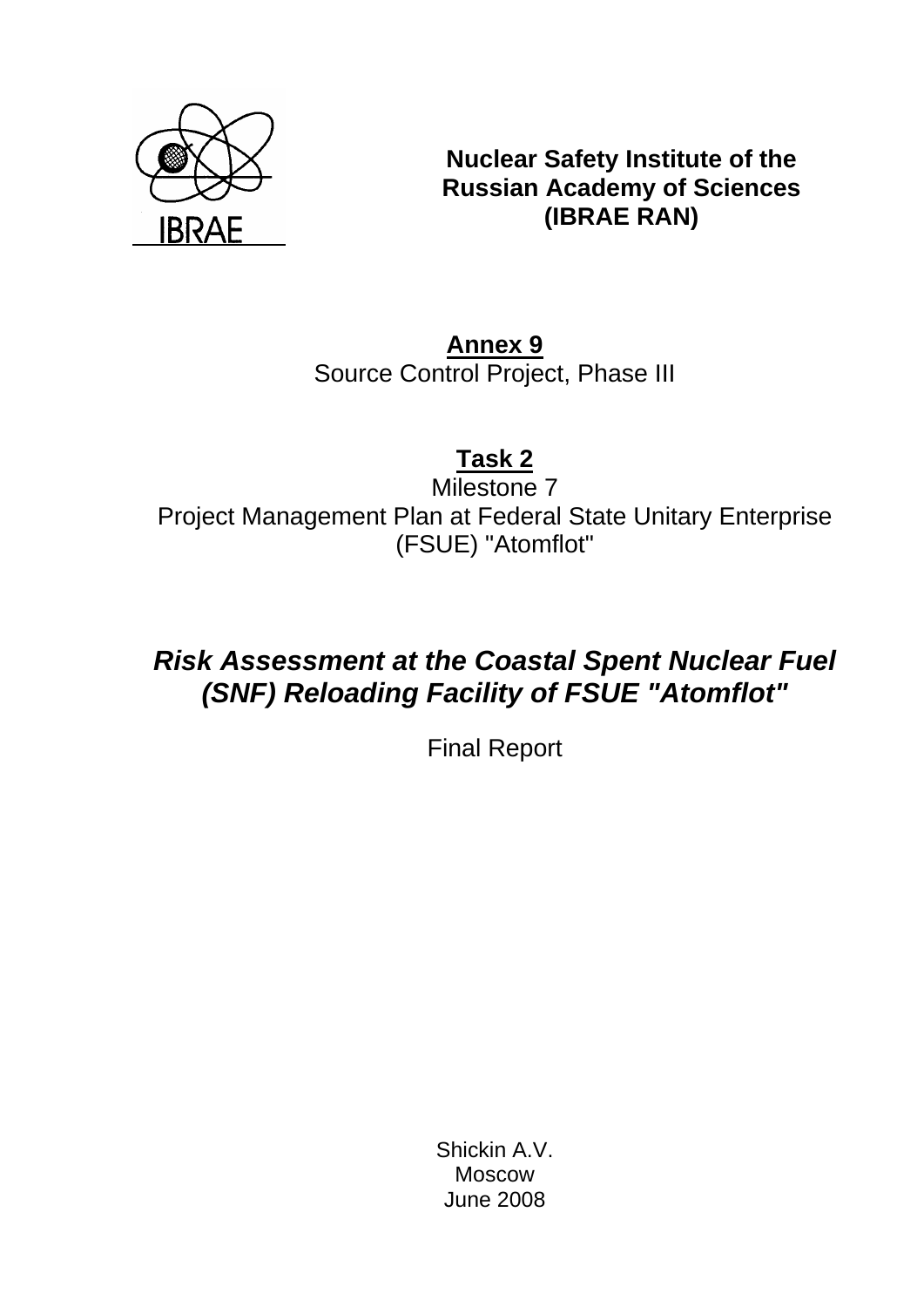

**Nuclear Safety Institute of the Russian Academy of Sciences (IBRAE RAN)** 

**Annex 9** Source Control Project, Phase III

**Task 2**

Milestone 7 Project Management Plan at Federal State Unitary Enterprise (FSUE) "Atomflot"

# *Risk Assessment at the Coastal Spent Nuclear Fuel (SNF) Reloading Facility of FSUE "Atomflot"*

Final Report

Shickin A.V. Moscow June 2008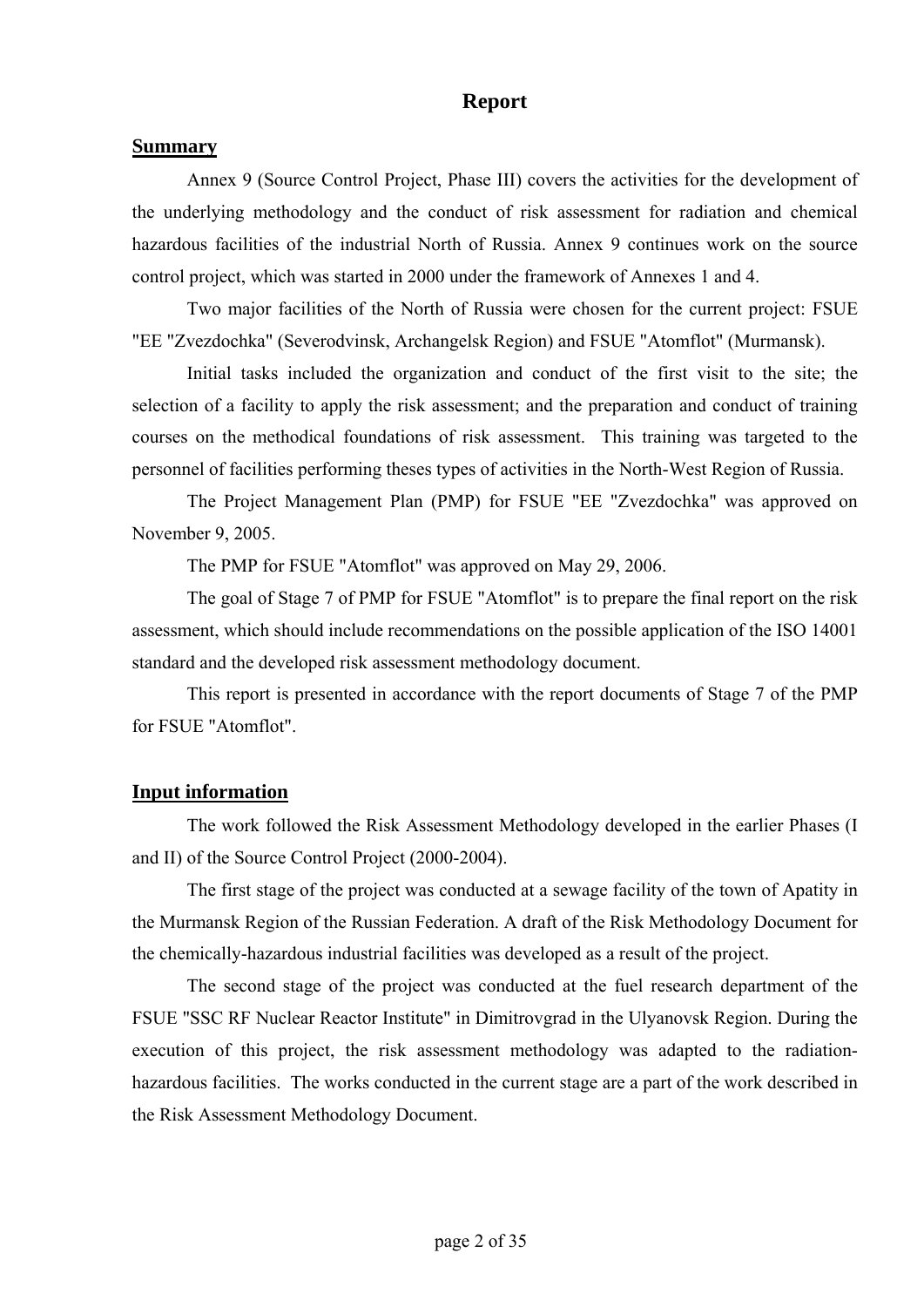## **Report**

#### **Summary**

Annex 9 (Source Control Project, Phase III) covers the activities for the development of the underlying methodology and the conduct of risk assessment for radiation and chemical hazardous facilities of the industrial North of Russia. Annex 9 continues work on the source control project, which was started in 2000 under the framework of Annexes 1 and 4.

Two major facilities of the North of Russia were chosen for the current project: FSUE "EE "Zvezdochka" (Severodvinsk, Archangelsk Region) and FSUE "Atomflot" (Murmansk).

Initial tasks included the organization and conduct of the first visit to the site; the selection of a facility to apply the risk assessment; and the preparation and conduct of training courses on the methodical foundations of risk assessment. This training was targeted to the personnel of facilities performing theses types of activities in the North-West Region of Russia.

The Project Management Plan (PMP) for FSUE "EE "Zvezdochka" was approved on November 9, 2005.

The PMP for FSUE "Atomflot" was approved on May 29, 2006.

The goal of Stage 7 of PMP for FSUE "Atomflot" is to prepare the final report on the risk assessment, which should include recommendations on the possible application of the ISO 14001 standard and the developed risk assessment methodology document.

This report is presented in accordance with the report documents of Stage 7 of the PMP for FSUE "Atomflot".

### **Input information**

The work followed the Risk Assessment Methodology developed in the earlier Phases (I and II) of the Source Control Project (2000-2004).

The first stage of the project was conducted at a sewage facility of the town of Apatity in the Murmansk Region of the Russian Federation. A draft of the Risk Methodology Document for the chemically-hazardous industrial facilities was developed as a result of the project.

The second stage of the project was conducted at the fuel research department of the FSUE "SSC RF Nuclear Reactor Institute" in Dimitrovgrad in the Ulyanovsk Region. During the execution of this project, the risk assessment methodology was adapted to the radiationhazardous facilities. The works conducted in the current stage are a part of the work described in the Risk Assessment Methodology Document.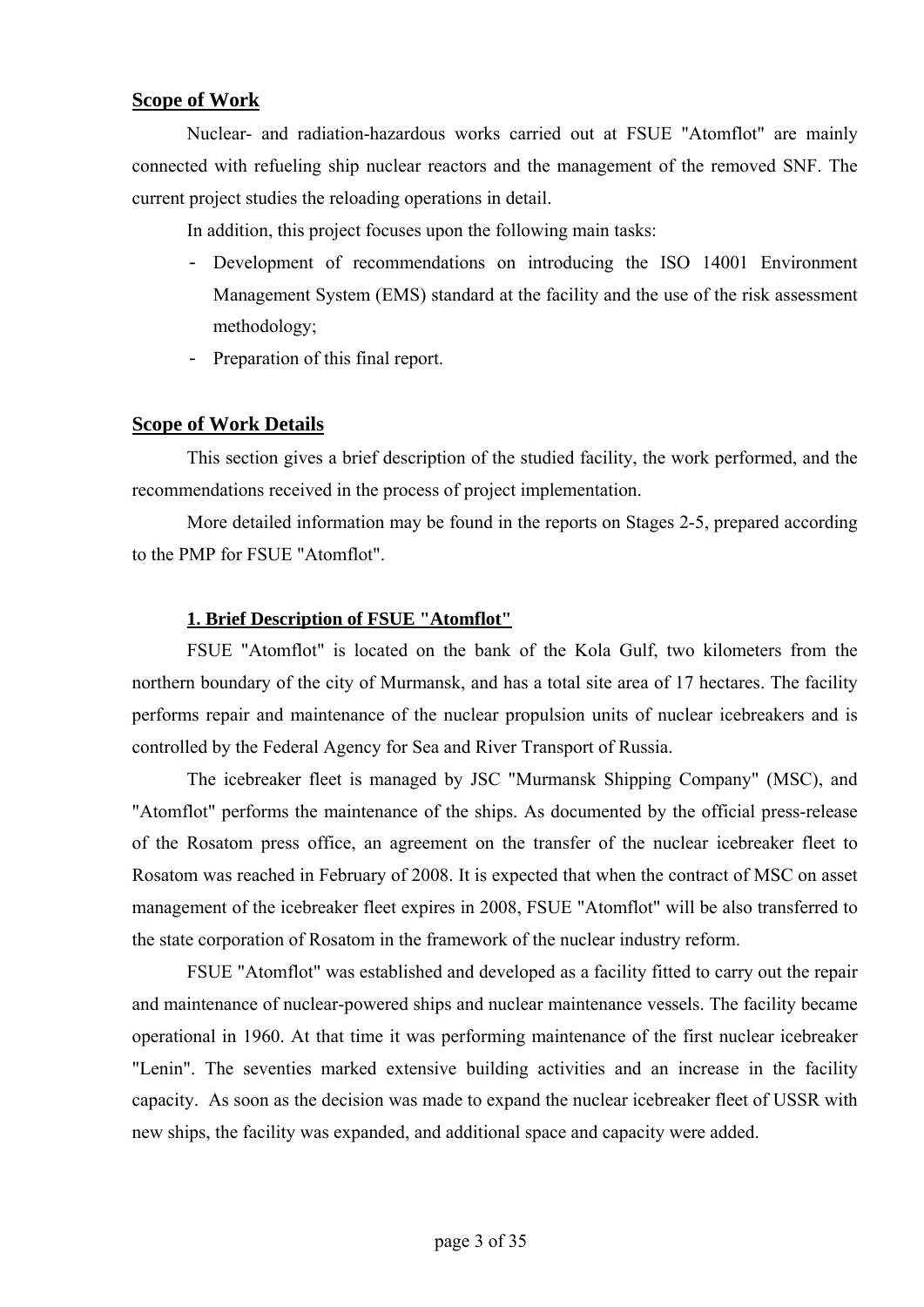### **Scope of Work**

Nuclear- and radiation-hazardous works carried out at FSUE "Atomflot" are mainly connected with refueling ship nuclear reactors and the management of the removed SNF. The current project studies the reloading operations in detail.

In addition, this project focuses upon the following main tasks:

- Development of recommendations on introducing the ISO 14001 Environment Management System (EMS) standard at the facility and the use of the risk assessment methodology;
- Preparation of this final report.

### **Scope of Work Details**

This section gives a brief description of the studied facility, the work performed, and the recommendations received in the process of project implementation.

More detailed information may be found in the reports on Stages 2-5, prepared according to the PMP for FSUE "Atomflot".

### **1. Brief Description of FSUE "Atomflot"**

FSUE "Atomflot" is located on the bank of the Kola Gulf, two kilometers from the northern boundary of the city of Murmansk, and has a total site area of 17 hectares. The facility performs repair and maintenance of the nuclear propulsion units of nuclear icebreakers and is controlled by the Federal Agency for Sea and River Transport of Russia.

The icebreaker fleet is managed by JSC "Murmansk Shipping Company" (MSC), and "Atomflot" performs the maintenance of the ships. As documented by the official press-release of the Rosatom press office, an agreement on the transfer of the nuclear icebreaker fleet to Rosatom was reached in February of 2008. It is expected that when the contract of MSC on asset management of the icebreaker fleet expires in 2008, FSUE "Atomflot" will be also transferred to the state corporation of Rosatom in the framework of the nuclear industry reform.

FSUE "Atomflot" was established and developed as a facility fitted to carry out the repair and maintenance of nuclear-powered ships and nuclear maintenance vessels. The facility became operational in 1960. At that time it was performing maintenance of the first nuclear icebreaker "Lenin". The seventies marked extensive building activities and an increase in the facility capacity. As soon as the decision was made to expand the nuclear icebreaker fleet of USSR with new ships, the facility was expanded, and additional space and capacity were added.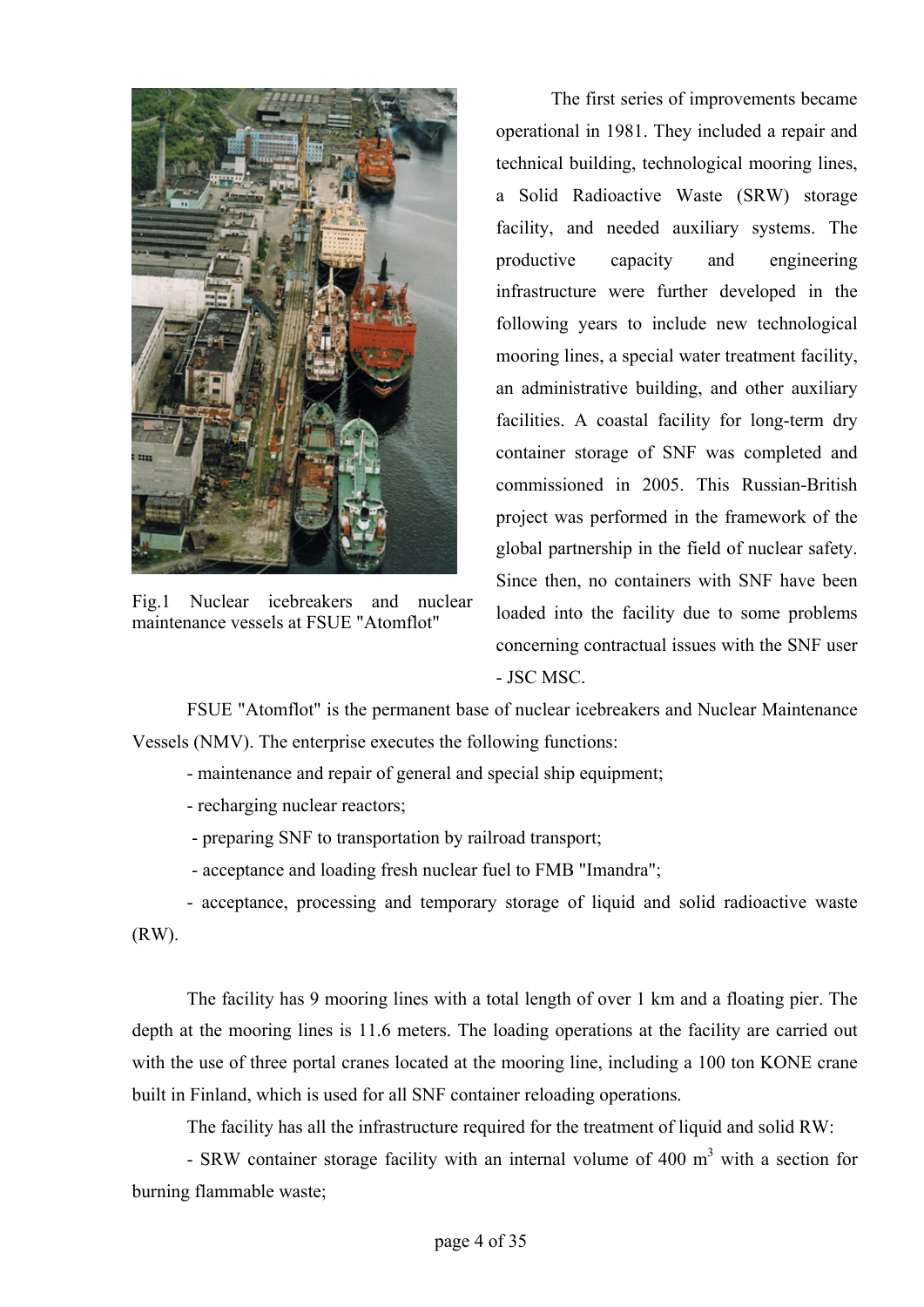

Fig.1 Nuclear icebreakers and nuclear maintenance vessels at FSUE "Atomflot"

The first series of improvements became operational in 1981. They included a repair and technical building, technological mooring lines, a Solid Radioactive Waste (SRW) storage facility, and needed auxiliary systems. The productive capacity and engineering infrastructure were further developed in the following years to include new technological mooring lines, a special water treatment facility, an administrative building, and other auxiliary facilities. A coastal facility for long-term dry container storage of SNF was completed and commissioned in 2005. This Russian-British project was performed in the framework of the global partnership in the field of nuclear safety. Since then, no containers with SNF have been loaded into the facility due to some problems concerning contractual issues with the SNF user - JSC MSC.

FSUE "Atomflot" is the permanent base of nuclear icebreakers and Nuclear Maintenance Vessels (NMV). The enterprise executes the following functions:

- maintenance and repair of general and special ship equipment;
- recharging nuclear reactors;
- preparing SNF to transportation by railroad transport;
- acceptance and loading fresh nuclear fuel to FMB "Imandra";
- acceptance, processing and temporary storage of liquid and solid radioactive waste

(RW).

The facility has 9 mooring lines with a total length of over 1 km and a floating pier. The depth at the mooring lines is 11.6 meters. The loading operations at the facility are carried out with the use of three portal cranes located at the mooring line, including a 100 ton KONE crane built in Finland, which is used for all SNF container reloading operations.

The facility has all the infrastructure required for the treatment of liquid and solid RW:

- SRW container storage facility with an internal volume of 400  $m<sup>3</sup>$  with a section for burning flammable waste;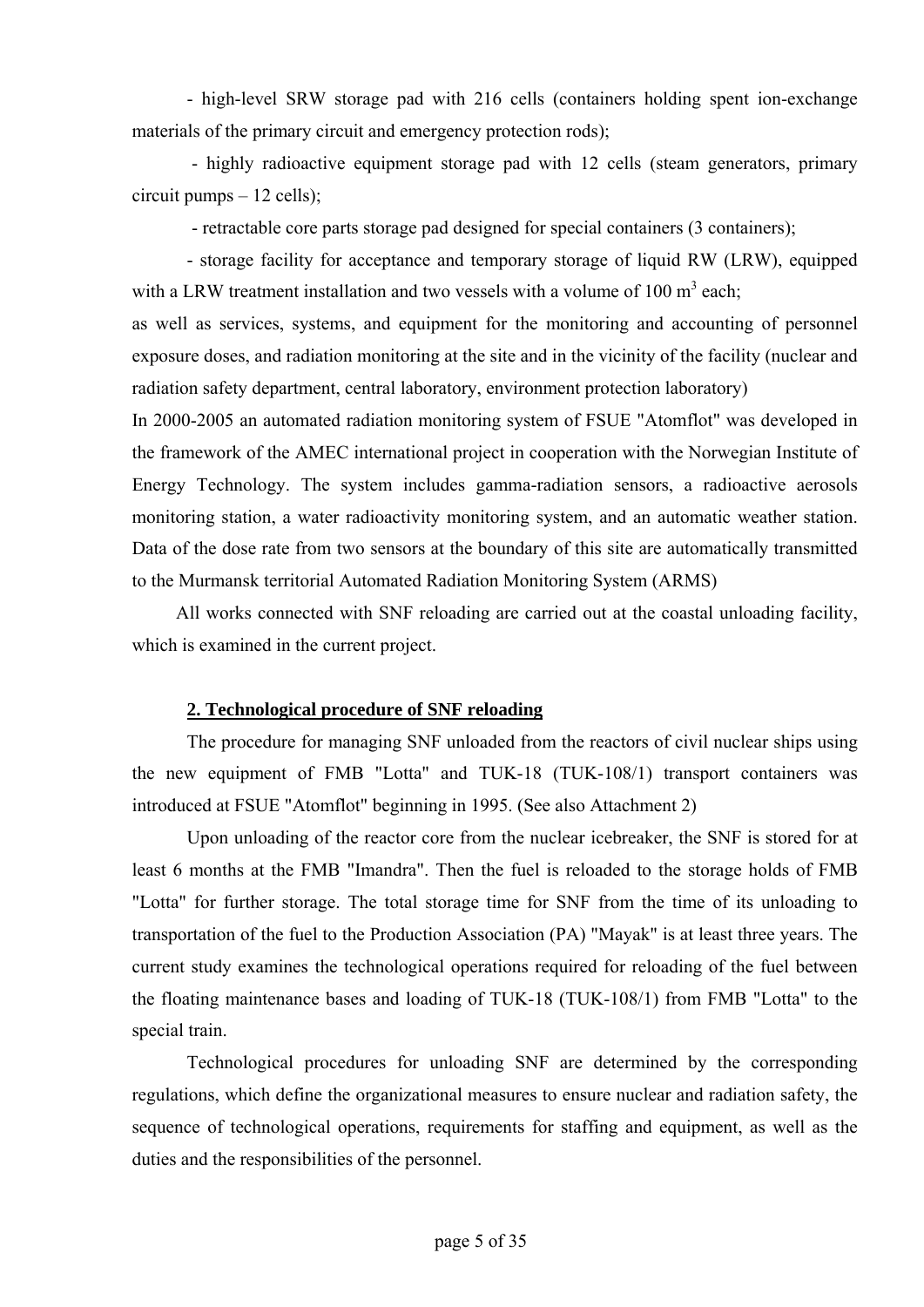- high-level SRW storage pad with 216 cells (containers holding spent ion-exchange materials of the primary circuit and emergency protection rods);

 - highly radioactive equipment storage pad with 12 cells (steam generators, primary circuit pumps – 12 cells);

- retractable core parts storage pad designed for special containers (3 containers);

- storage facility for acceptance and temporary storage of liquid RW (LRW), equipped with a LRW treatment installation and two vessels with a volume of 100  $m<sup>3</sup>$  each;

as well as services, systems, and equipment for the monitoring and accounting of personnel exposure doses, and radiation monitoring at the site and in the vicinity of the facility (nuclear and radiation safety department, central laboratory, environment protection laboratory)

In 2000-2005 an automated radiation monitoring system of FSUE "Atomflot" was developed in the framework of the AMEC international project in cooperation with the Norwegian Institute of Energy Technology. The system includes gamma-radiation sensors, a radioactive aerosols monitoring station, a water radioactivity monitoring system, and an automatic weather station. Data of the dose rate from two sensors at the boundary of this site are automatically transmitted to the Murmansk territorial Automated Radiation Monitoring System (ARMS)

All works connected with SNF reloading are carried out at the coastal unloading facility, which is examined in the current project.

### **2. Technological procedure of SNF reloading**

The procedure for managing SNF unloaded from the reactors of civil nuclear ships using the new equipment of FMB "Lotta" and TUK-18 (TUK-108/1) transport containers was introduced at FSUE "Atomflot" beginning in 1995. (See also Attachment 2)

Upon unloading of the reactor core from the nuclear icebreaker, the SNF is stored for at least 6 months at the FMB "Imandra". Then the fuel is reloaded to the storage holds of FMB "Lotta" for further storage. The total storage time for SNF from the time of its unloading to transportation of the fuel to the Production Association (PA) "Mayak" is at least three years. The current study examines the technological operations required for reloading of the fuel between the floating maintenance bases and loading of TUK-18 (TUK-108/1) from FMB "Lotta" to the special train.

Technological procedures for unloading SNF are determined by the corresponding regulations, which define the organizational measures to ensure nuclear and radiation safety, the sequence of technological operations, requirements for staffing and equipment, as well as the duties and the responsibilities of the personnel.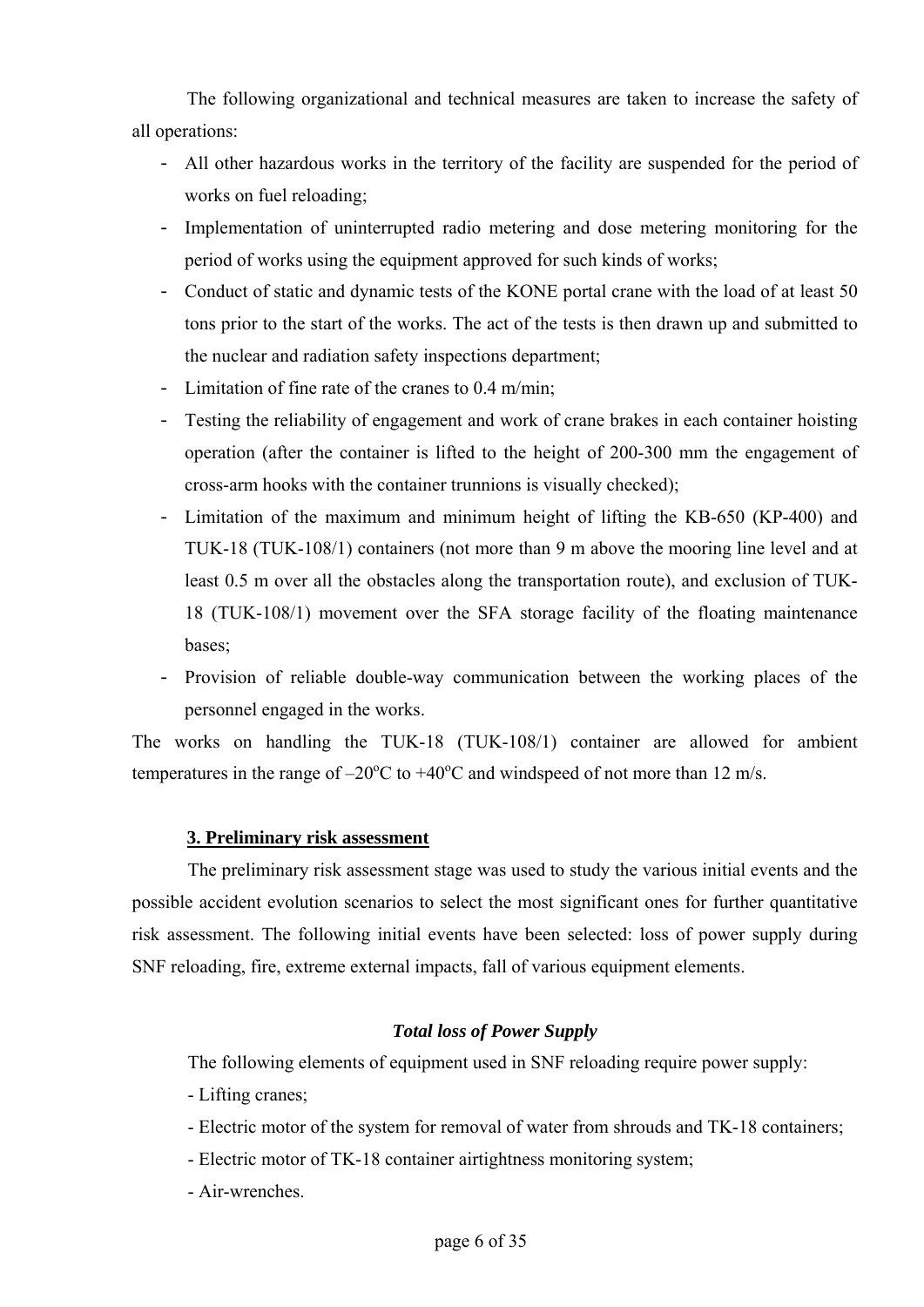The following organizational and technical measures are taken to increase the safety of all operations:

- All other hazardous works in the territory of the facility are suspended for the period of works on fuel reloading;
- Implementation of uninterrupted radio metering and dose metering monitoring for the period of works using the equipment approved for such kinds of works;
- Conduct of static and dynamic tests of the KONE portal crane with the load of at least 50 tons prior to the start of the works. The act of the tests is then drawn up and submitted to the nuclear and radiation safety inspections department;
- Limitation of fine rate of the cranes to 0.4 m/min;
- Testing the reliability of engagement and work of crane brakes in each container hoisting operation (after the container is lifted to the height of 200-300 mm the engagement of cross-arm hooks with the container trunnions is visually checked);
- Limitation of the maximum and minimum height of lifting the KB-650 (KP-400) and TUK-18 (TUK-108/1) containers (not more than 9 m above the mooring line level and at least 0.5 m over all the obstacles along the transportation route), and exclusion of TUK-18 (TUK-108/1) movement over the SFA storage facility of the floating maintenance bases;
- Provision of reliable double-way communication between the working places of the personnel engaged in the works.

The works on handling the TUK-18 (TUK-108/1) container are allowed for ambient temperatures in the range of  $-20^{\circ}$ C to  $+40^{\circ}$ C and windspeed of not more than 12 m/s.

## **3. Preliminary risk assessment**

The preliminary risk assessment stage was used to study the various initial events and the possible accident evolution scenarios to select the most significant ones for further quantitative risk assessment. The following initial events have been selected: loss of power supply during SNF reloading, fire, extreme external impacts, fall of various equipment elements.

### *Total loss of Power Supply*

The following elements of equipment used in SNF reloading require power supply:

- Lifting cranes;
- Electric motor of the system for removal of water from shrouds and TK-18 containers;
- Electric motor of TK-18 container airtightness monitoring system;
- Air-wrenches.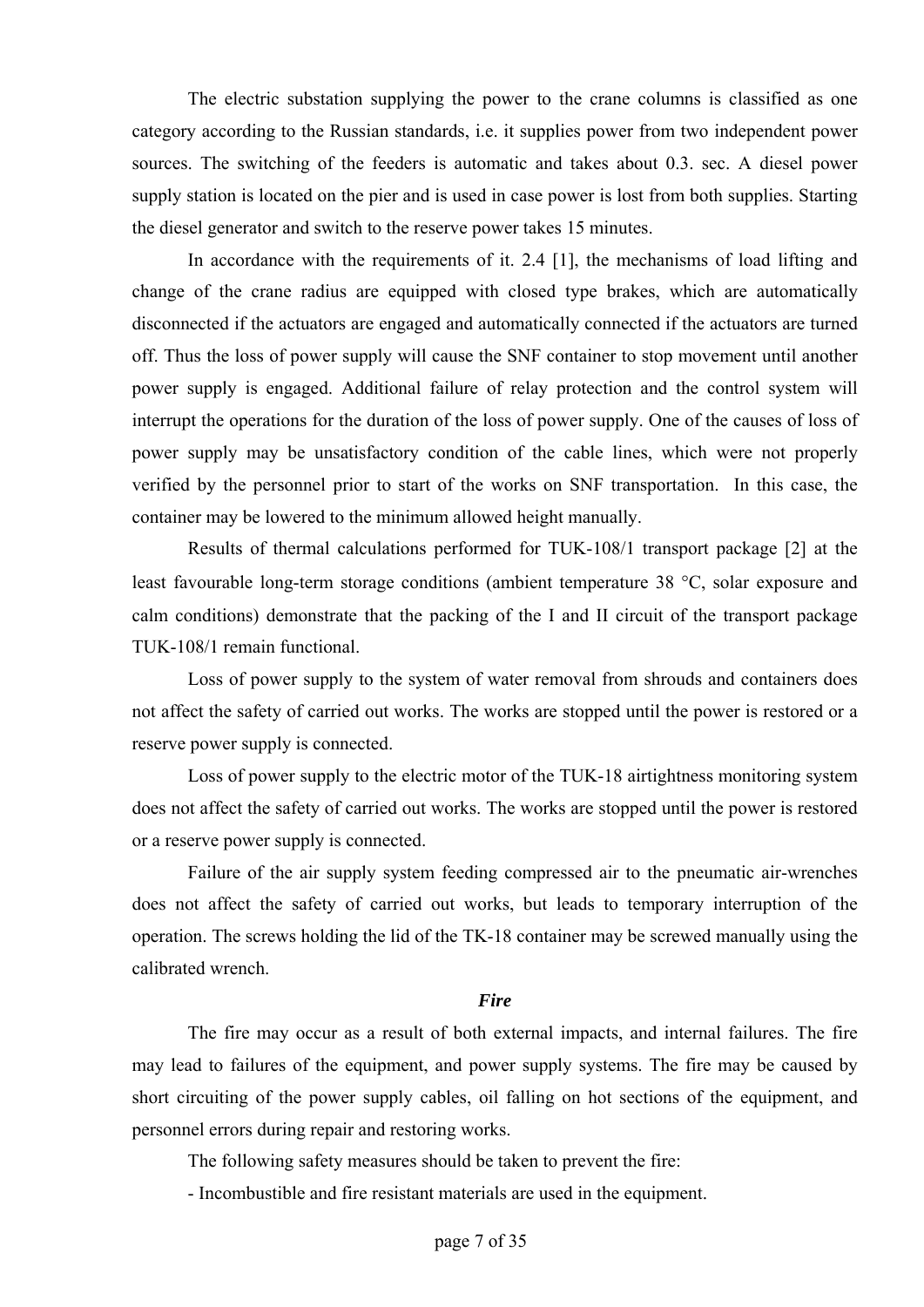The electric substation supplying the power to the crane columns is classified as one category according to the Russian standards, i.e. it supplies power from two independent power sources. The switching of the feeders is automatic and takes about 0.3. sec. A diesel power supply station is located on the pier and is used in case power is lost from both supplies. Starting the diesel generator and switch to the reserve power takes 15 minutes.

In accordance with the requirements of it. 2.4 [1], the mechanisms of load lifting and change of the crane radius are equipped with closed type brakes, which are automatically disconnected if the actuators are engaged and automatically connected if the actuators are turned off. Thus the loss of power supply will cause the SNF container to stop movement until another power supply is engaged. Additional failure of relay protection and the control system will interrupt the operations for the duration of the loss of power supply. One of the causes of loss of power supply may be unsatisfactory condition of the cable lines, which were not properly verified by the personnel prior to start of the works on SNF transportation. In this case, the container may be lowered to the minimum allowed height manually.

Results of thermal calculations performed for TUK-108/1 transport package [2] at the least favourable long-term storage conditions (ambient temperature 38 °С, solar exposure and calm conditions) demonstrate that the packing of the I and II circuit of the transport package TUK-108/1 remain functional.

Loss of power supply to the system of water removal from shrouds and containers does not affect the safety of carried out works. The works are stopped until the power is restored or a reserve power supply is connected.

Loss of power supply to the electric motor of the TUK-18 airtightness monitoring system does not affect the safety of carried out works. The works are stopped until the power is restored or a reserve power supply is connected.

Failure of the air supply system feeding compressed air to the pneumatic air-wrenches does not affect the safety of carried out works, but leads to temporary interruption of the operation. The screws holding the lid of the TK-18 container may be screwed manually using the calibrated wrench.

### *Fire*

The fire may occur as a result of both external impacts, and internal failures. The fire may lead to failures of the equipment, and power supply systems. The fire may be caused by short circuiting of the power supply cables, oil falling on hot sections of the equipment, and personnel errors during repair and restoring works.

The following safety measures should be taken to prevent the fire:

- Incombustible and fire resistant materials are used in the equipment.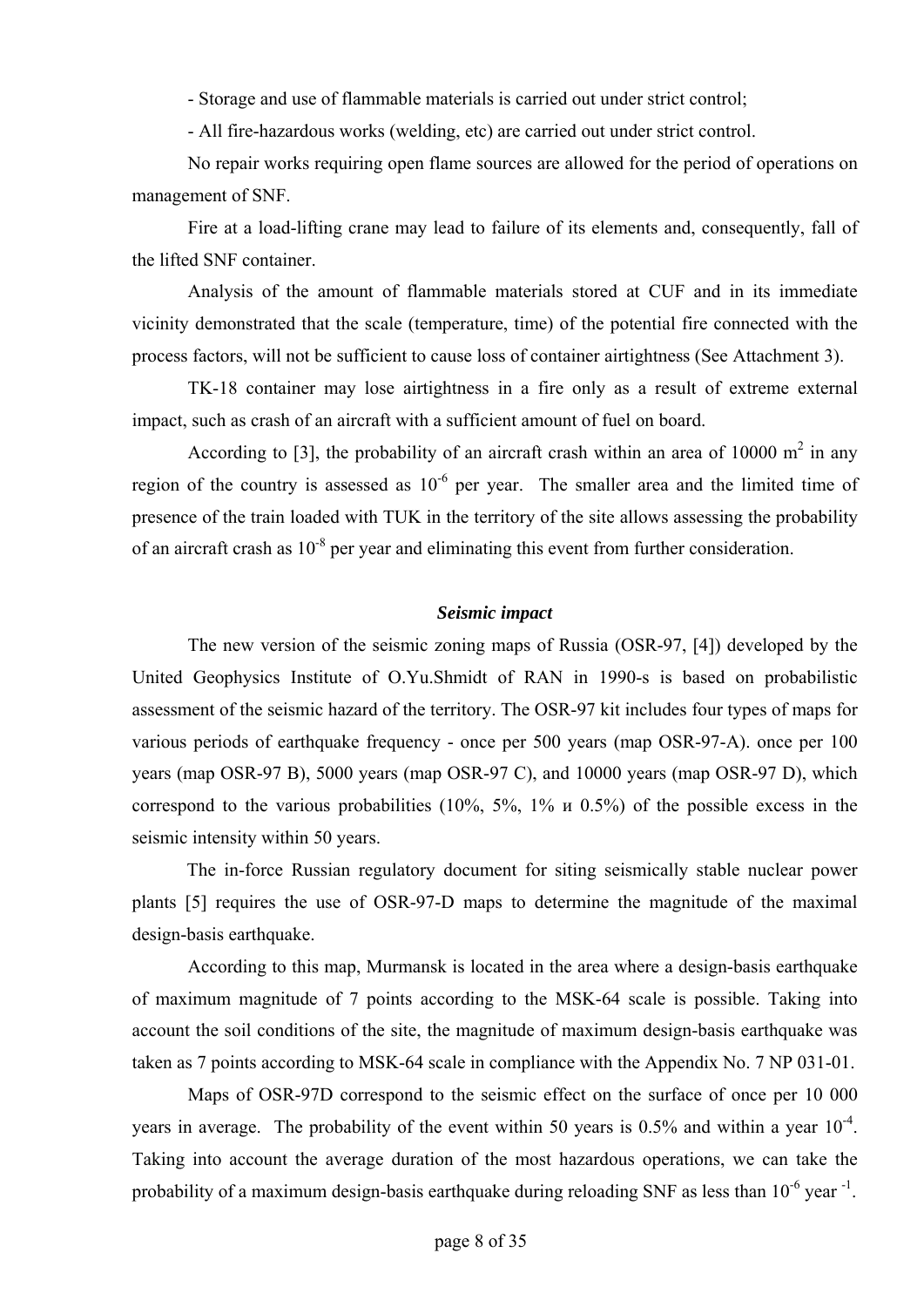- Storage and use of flammable materials is carried out under strict control;

- All fire-hazardous works (welding, etc) are carried out under strict control.

No repair works requiring open flame sources are allowed for the period of operations on management of SNF.

Fire at a load-lifting crane may lead to failure of its elements and, consequently, fall of the lifted SNF container.

Analysis of the amount of flammable materials stored at CUF and in its immediate vicinity demonstrated that the scale (temperature, time) of the potential fire connected with the process factors, will not be sufficient to cause loss of container airtightness (See Attachment 3).

TK-18 container may lose airtightness in a fire only as a result of extreme external impact, such as crash of an aircraft with a sufficient amount of fuel on board.

According to [3], the probability of an aircraft crash within an area of 10000  $m<sup>2</sup>$  in any region of the country is assessed as  $10^{-6}$  per year. The smaller area and the limited time of presence of the train loaded with TUK in the territory of the site allows assessing the probability of an aircraft crash as  $10^{-8}$  per year and eliminating this event from further consideration.

#### *Seismic impact*

The new version of the seismic zoning maps of Russia (OSR-97, [4]) developed by the United Geophysics Institute of O.Yu.Shmidt of RAN in 1990-s is based on probabilistic assessment of the seismic hazard of the territory. The OSR-97 kit includes four types of maps for various periods of earthquake frequency - once per 500 years (map OSR-97-A). once per 100 years (map OSR-97 B), 5000 years (map OSR-97 C), and 10000 years (map OSR-97 D), which correspond to the various probabilities (10%, 5%, 1% и 0.5%) of the possible excess in the seismic intensity within 50 years.

The in-force Russian regulatory document for siting seismically stable nuclear power plants [5] requires the use of OSR-97-D maps to determine the magnitude of the maximal design-basis earthquake.

According to this map, Murmansk is located in the area where a design-basis earthquake of maximum magnitude of 7 points according to the MSK-64 scale is possible. Taking into account the soil conditions of the site, the magnitude of maximum design-basis earthquake was taken as 7 points according to MSK-64 scale in compliance with the Appendix No. 7 NP 031-01.

Maps of OSR-97D correspond to the seismic effect on the surface of once per 10 000 years in average. The probability of the event within 50 years is  $0.5\%$  and within a year  $10^{-4}$ . Taking into account the average duration of the most hazardous operations, we can take the probability of a maximum design-basis earthquake during reloading SNF as less than 10<sup>-6</sup> year <sup>-1</sup>.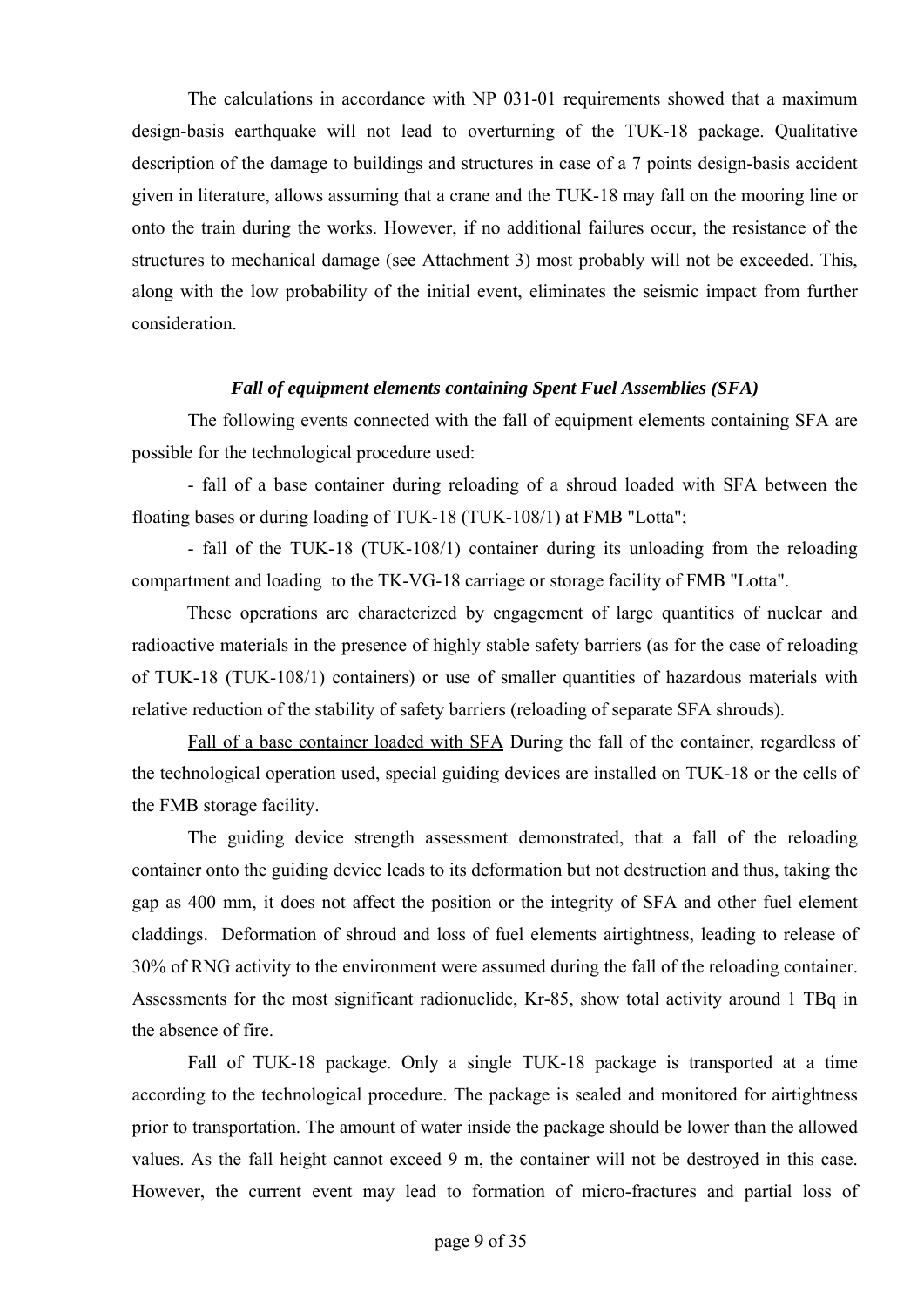The calculations in accordance with NP 031-01 requirements showed that a maximum design-basis earthquake will not lead to overturning of the TUK-18 package. Qualitative description of the damage to buildings and structures in case of a 7 points design-basis accident given in literature, allows assuming that a crane and the TUK-18 may fall on the mooring line or onto the train during the works. However, if no additional failures occur, the resistance of the structures to mechanical damage (see Attachment 3) most probably will not be exceeded. This, along with the low probability of the initial event, eliminates the seismic impact from further consideration.

### *Fall of equipment elements containing Spent Fuel Assemblies (SFA)*

The following events connected with the fall of equipment elements containing SFA are possible for the technological procedure used:

- fall of a base container during reloading of a shroud loaded with SFA between the floating bases or during loading of TUK-18 (TUK-108/1) at FMB "Lotta";

- fall of the TUK-18 (TUK-108/1) container during its unloading from the reloading compartment and loading to the TK-VG-18 carriage or storage facility of FMB "Lotta".

These operations are characterized by engagement of large quantities of nuclear and radioactive materials in the presence of highly stable safety barriers (as for the case of reloading of TUK-18 (TUK-108/1) containers) or use of smaller quantities of hazardous materials with relative reduction of the stability of safety barriers (reloading of separate SFA shrouds).

Fall of a base container loaded with SFA During the fall of the container, regardless of the technological operation used, special guiding devices are installed on TUK-18 or the cells of the FMB storage facility.

The guiding device strength assessment demonstrated, that a fall of the reloading container onto the guiding device leads to its deformation but not destruction and thus, taking the gap as 400 mm, it does not affect the position or the integrity of SFA and other fuel element claddings. Deformation of shroud and loss of fuel elements airtightness, leading to release of 30% of RNG activity to the environment were assumed during the fall of the reloading container. Assessments for the most significant radionuclide, Kr-85, show total activity around 1 TBq in the absence of fire.

Fall of TUK-18 package. Only a single TUK-18 package is transported at a time according to the technological procedure. The package is sealed and monitored for airtightness prior to transportation. The amount of water inside the package should be lower than the allowed values. As the fall height cannot exceed 9 m, the container will not be destroyed in this case. However, the current event may lead to formation of micro-fractures and partial loss of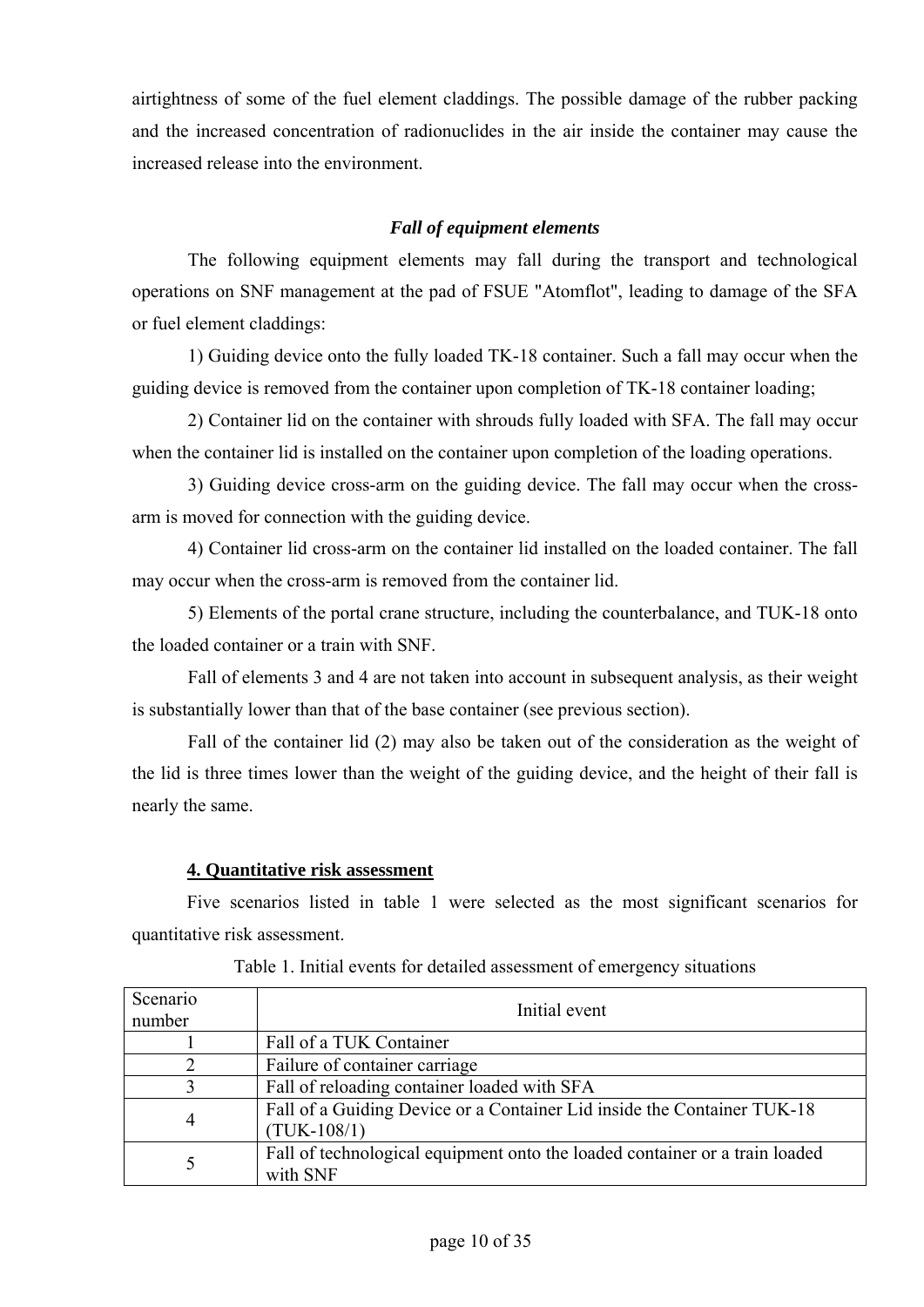airtightness of some of the fuel element claddings. The possible damage of the rubber packing and the increased concentration of radionuclides in the air inside the container may cause the increased release into the environment.

## *Fall of equipment elements*

The following equipment elements may fall during the transport and technological operations on SNF management at the pad of FSUE "Atomflot", leading to damage of the SFA or fuel element claddings:

1) Guiding device onto the fully loaded TK-18 container. Such a fall may occur when the guiding device is removed from the container upon completion of TK-18 container loading;

2) Container lid on the container with shrouds fully loaded with SFA. The fall may occur when the container lid is installed on the container upon completion of the loading operations.

3) Guiding device cross-arm on the guiding device. The fall may occur when the crossarm is moved for connection with the guiding device.

4) Container lid cross-arm on the container lid installed on the loaded container. The fall may occur when the cross-arm is removed from the container lid.

5) Elements of the portal crane structure, including the counterbalance, and TUK-18 onto the loaded container or a train with SNF.

Fall of elements 3 and 4 are not taken into account in subsequent analysis, as their weight is substantially lower than that of the base container (see previous section).

Fall of the container lid (2) may also be taken out of the consideration as the weight of the lid is three times lower than the weight of the guiding device, and the height of their fall is nearly the same.

## **4. Quantitative risk assessment**

Five scenarios listed in table 1 were selected as the most significant scenarios for quantitative risk assessment.

| Scenario<br>number | Initial event                                                                            |  |  |
|--------------------|------------------------------------------------------------------------------------------|--|--|
|                    | Fall of a TUK Container                                                                  |  |  |
|                    | Failure of container carriage                                                            |  |  |
| 3                  | Fall of reloading container loaded with SFA                                              |  |  |
| $\overline{4}$     | Fall of a Guiding Device or a Container Lid inside the Container TUK-18<br>$(TUK-108/1)$ |  |  |
| 5                  | Fall of technological equipment onto the loaded container or a train loaded<br>with SNF  |  |  |

Table 1. Initial events for detailed assessment of emergency situations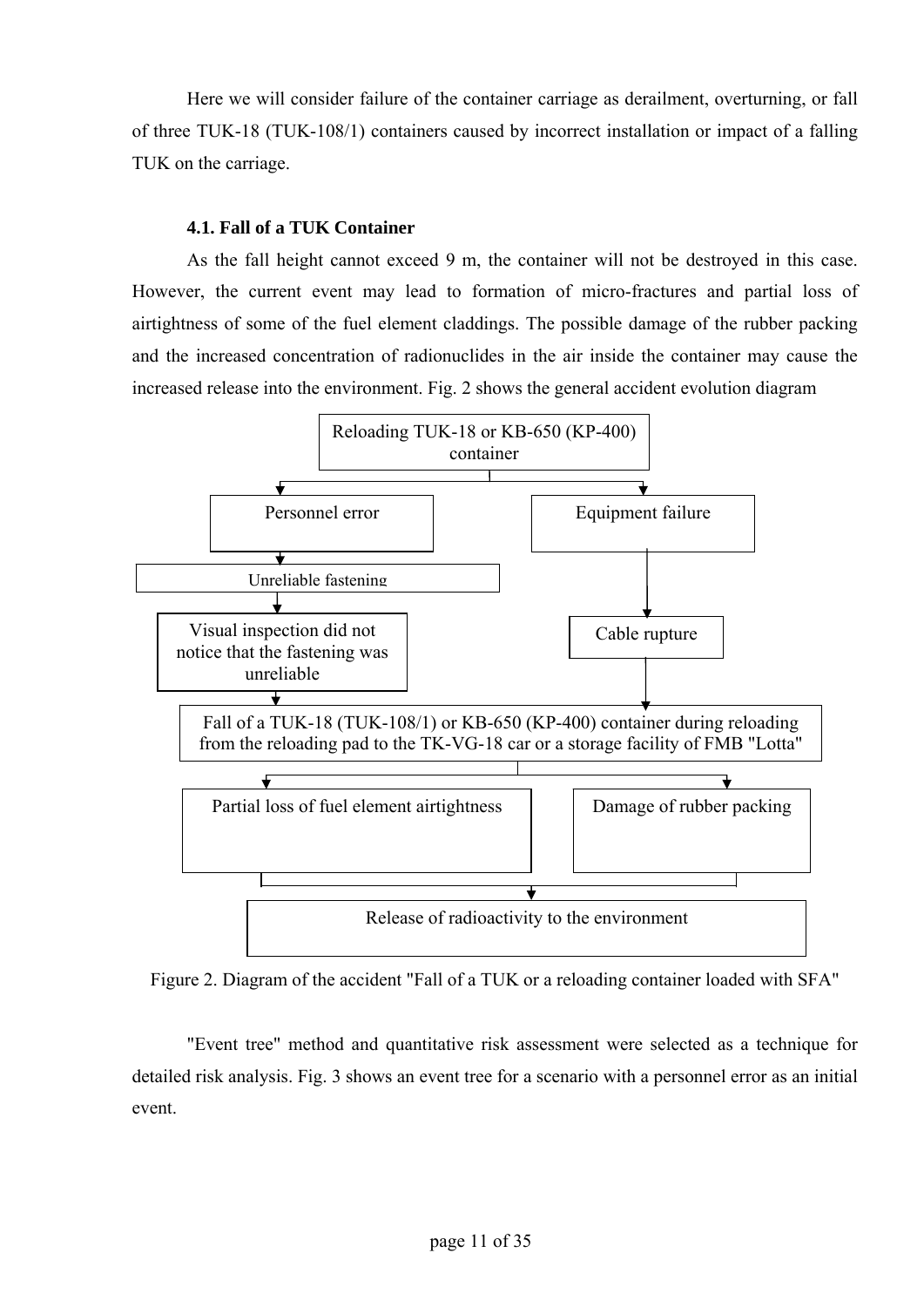Here we will consider failure of the container carriage as derailment, overturning, or fall of three TUK-18 (TUK-108/1) containers caused by incorrect installation or impact of a falling TUK on the carriage.

### **4.1. Fall of a TUK Container**

As the fall height cannot exceed 9 m, the container will not be destroyed in this case. However, the current event may lead to formation of micro-fractures and partial loss of airtightness of some of the fuel element claddings. The possible damage of the rubber packing and the increased concentration of radionuclides in the air inside the container may cause the increased release into the environment. Fig. 2 shows the general accident evolution diagram



Figure 2. Diagram of the accident "Fall of a TUK or a reloading container loaded with SFA"

"Event tree" method and quantitative risk assessment were selected as a technique for detailed risk analysis. Fig. 3 shows an event tree for a scenario with a personnel error as an initial event.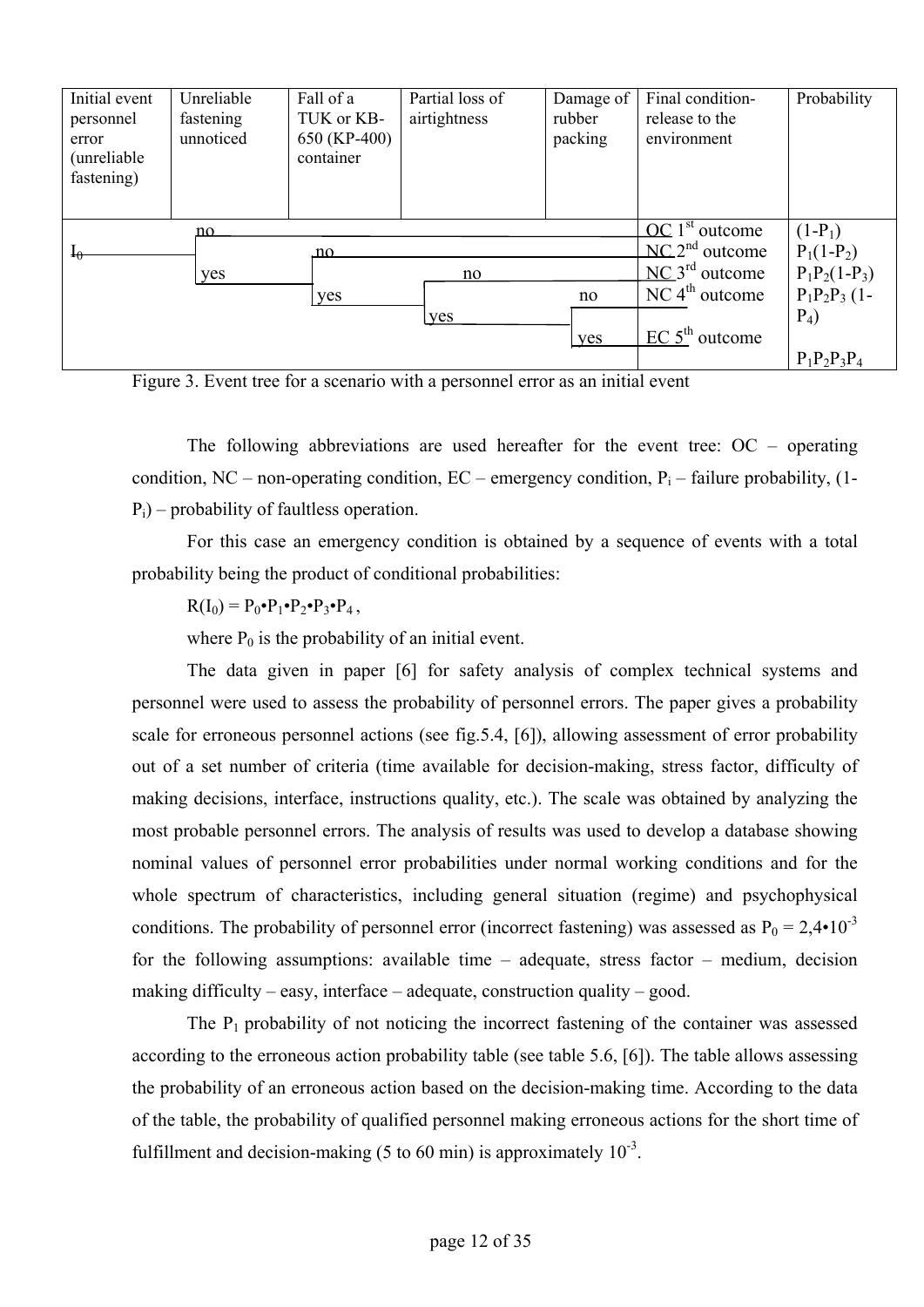| Initial event<br>personnel<br>error<br>(unreliable)<br>fastening) | Unreliable<br>fastening<br>unnoticed | Fall of a<br>TUK or KB-<br>650 (KP-400)<br>container | Partial loss of<br>airtightness | Damage of<br>rubber<br>packing | Final condition-<br>release to the<br>environment | Probability     |
|-------------------------------------------------------------------|--------------------------------------|------------------------------------------------------|---------------------------------|--------------------------------|---------------------------------------------------|-----------------|
|                                                                   | no                                   |                                                      |                                 |                                | $OC$ 1 <sup>st</sup> outcome                      | $(1-P_1)$       |
| $I_{\theta}$                                                      |                                      | no.                                                  |                                 |                                | $NC.2nd$ outcome                                  | $P_1(1-P_2)$    |
|                                                                   | yes                                  |                                                      | no                              |                                | $NC_3^{rd}$ outcome                               | $P_1P_2(1-P_3)$ |
|                                                                   |                                      | yes                                                  |                                 | no                             | $NC$ 4 <sup>th</sup> outcome                      | $P_1P_2P_3$ (1- |
|                                                                   |                                      |                                                      | yes                             |                                |                                                   | $P_4$           |
|                                                                   |                                      |                                                      |                                 | yes                            | $EC$ 5 <sup>th</sup> outcome                      |                 |
|                                                                   |                                      |                                                      |                                 |                                |                                                   | $P_1P_2P_3P_4$  |

Figure 3. Event tree for a scenario with a personnel error as an initial event

The following abbreviations are used hereafter for the event tree:  $OC$  – operating condition, NC – non-operating condition, EC – emergency condition,  $P_i$  – failure probability, (1- $P_i$ ) – probability of faultless operation.

For this case an emergency condition is obtained by a sequence of events with a total probability being the product of conditional probabilities:

 $R(I_0) = P_0 \cdot P_1 \cdot P_2 \cdot P_3 \cdot P_4,$ 

where  $P_0$  is the probability of an initial event.

The data given in paper [6] for safety analysis of complex technical systems and personnel were used to assess the probability of personnel errors. The paper gives a probability scale for erroneous personnel actions (see fig.5.4, [6]), allowing assessment of error probability out of a set number of criteria (time available for decision-making, stress factor, difficulty of making decisions, interface, instructions quality, etc.). The scale was obtained by analyzing the most probable personnel errors. The analysis of results was used to develop a database showing nominal values of personnel error probabilities under normal working conditions and for the whole spectrum of characteristics, including general situation (regime) and psychophysical conditions. The probability of personnel error (incorrect fastening) was assessed as  $P_0 = 2.4 \cdot 10^{-3}$ for the following assumptions: available time – adequate, stress factor – medium, decision making difficulty – easy, interface – adequate, construction quality – good.

The  $P_1$  probability of not noticing the incorrect fastening of the container was assessed according to the erroneous action probability table (see table 5.6, [6]). The table allows assessing the probability of an erroneous action based on the decision-making time. According to the data of the table, the probability of qualified personnel making erroneous actions for the short time of fulfillment and decision-making (5 to 60 min) is approximately  $10^{-3}$ .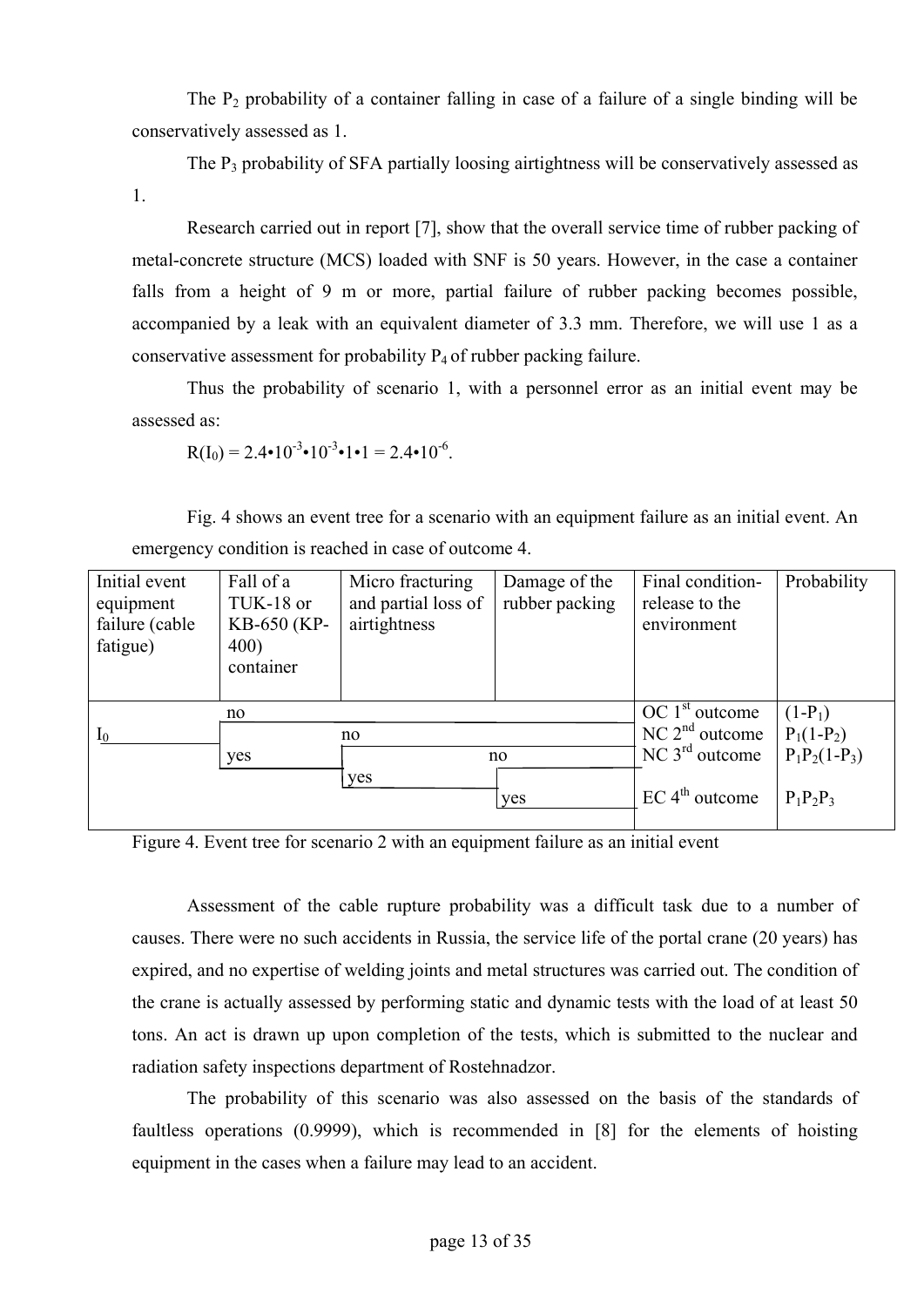The  $P_2$  probability of a container falling in case of a failure of a single binding will be conservatively assessed as 1.

The  $P_3$  probability of SFA partially loosing airtightness will be conservatively assessed as 1.

Research carried out in report [7], show that the overall service time of rubber packing of metal-concrete structure (MCS) loaded with SNF is 50 years. However, in the case a container falls from a height of 9 m or more, partial failure of rubber packing becomes possible, accompanied by a leak with an equivalent diameter of 3.3 mm. Therefore, we will use 1 as a conservative assessment for probability  $P_4$  of rubber packing failure.

Thus the probability of scenario 1, with a personnel error as an initial event may be assessed as:

$$
R(I_0) = 2.4 \cdot 10^{-3} \cdot 10^{-3} \cdot 1 \cdot 1 = 2.4 \cdot 10^{-6}.
$$

Fig. 4 shows an event tree for a scenario with an equipment failure as an initial event. An emergency condition is reached in case of outcome 4.

| Initial event<br>equipment<br>failure (cable<br>fatigue) | Fall of a<br>TUK-18 or<br>KB-650 (KP-<br>400)<br>container | Micro fracturing<br>and partial loss of<br>airtightness | Damage of the<br>rubber packing | Final condition-<br>release to the<br>environment | Probability     |
|----------------------------------------------------------|------------------------------------------------------------|---------------------------------------------------------|---------------------------------|---------------------------------------------------|-----------------|
|                                                          | no                                                         |                                                         |                                 | OC 1 <sup>st</sup> outcome                        | $(1-P_1)$       |
| $I_0$                                                    |                                                            | no.                                                     |                                 | $NC$ 2 <sup>nd</sup> outcome                      | $P_1(1-P_2)$    |
|                                                          | yes                                                        |                                                         | no                              | NC 3 <sup>rd</sup> outcome                        | $P_1P_2(1-P_3)$ |
|                                                          |                                                            | yes                                                     | yes                             | $EC$ 4 <sup>th</sup> outcome                      | $P_1P_2P_3$     |

Figure 4. Event tree for scenario 2 with an equipment failure as an initial event

Assessment of the cable rupture probability was a difficult task due to a number of causes. There were no such accidents in Russia, the service life of the portal crane (20 years) has expired, and no expertise of welding joints and metal structures was carried out. The condition of the crane is actually assessed by performing static and dynamic tests with the load of at least 50 tons. An act is drawn up upon completion of the tests, which is submitted to the nuclear and radiation safety inspections department of Rostehnadzor.

The probability of this scenario was also assessed on the basis of the standards of faultless operations (0.9999), which is recommended in [8] for the elements of hoisting equipment in the cases when a failure may lead to an accident.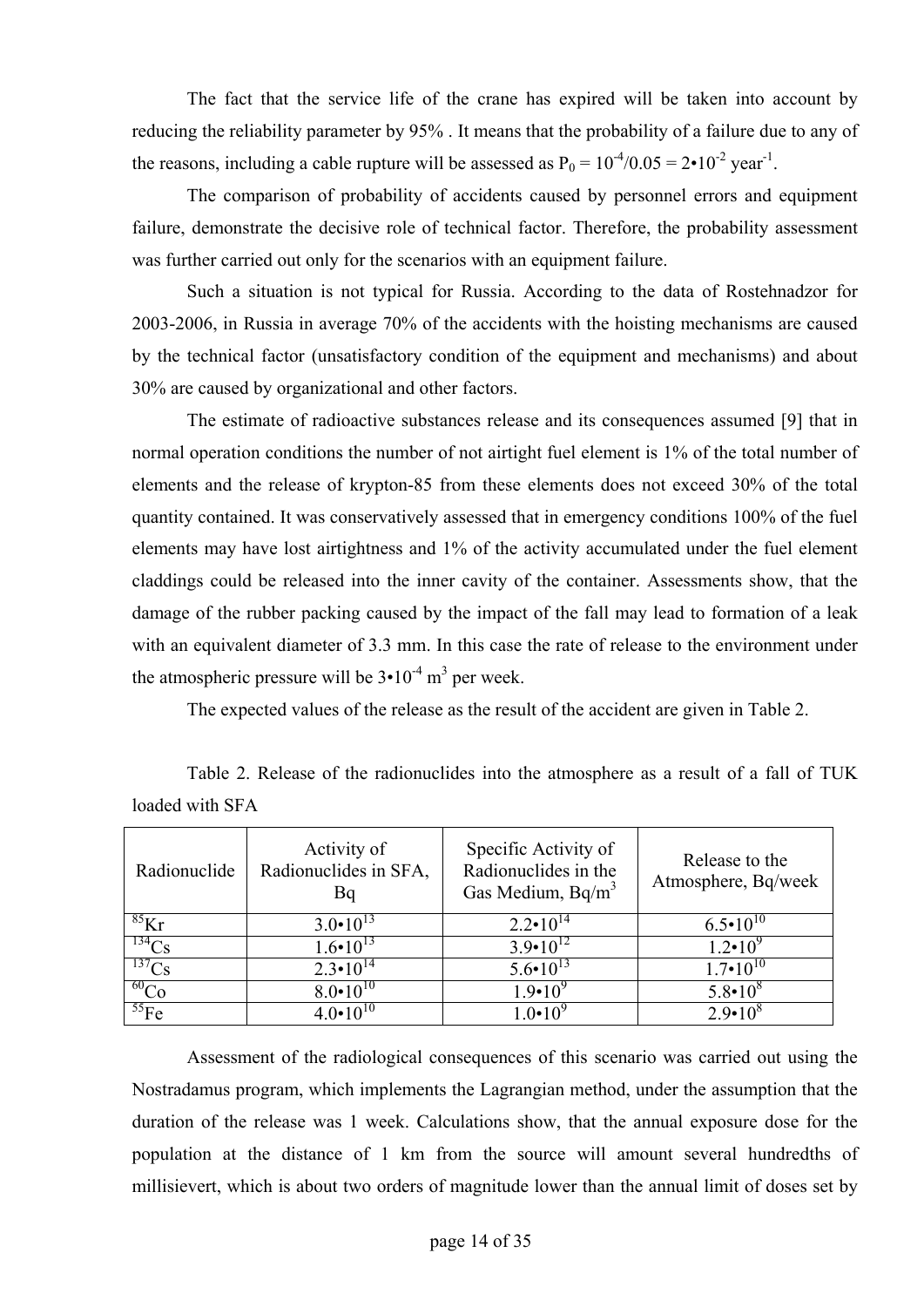The fact that the service life of the crane has expired will be taken into account by reducing the reliability parameter by 95% . It means that the probability of a failure due to any of the reasons, including a cable rupture will be assessed as  $P_0 = 10^{-4}/0.05 = 2 \cdot 10^{-2}$  year<sup>-1</sup>.

The comparison of probability of accidents caused by personnel errors and equipment failure, demonstrate the decisive role of technical factor. Therefore, the probability assessment was further carried out only for the scenarios with an equipment failure.

Such a situation is not typical for Russia. According to the data of Rostehnadzor for 2003-2006, in Russia in average 70% of the accidents with the hoisting mechanisms are caused by the technical factor (unsatisfactory condition of the equipment and mechanisms) and about 30% are caused by organizational and other factors.

The estimate of radioactive substances release and its consequences assumed [9] that in normal operation conditions the number of not airtight fuel element is 1% of the total number of elements and the release of krypton-85 from these elements does not exceed 30% of the total quantity contained. It was conservatively assessed that in emergency conditions 100% of the fuel elements may have lost airtightness and 1% of the activity accumulated under the fuel element claddings could be released into the inner cavity of the container. Assessments show, that the damage of the rubber packing caused by the impact of the fall may lead to formation of a leak with an equivalent diameter of 3.3 mm. In this case the rate of release to the environment under the atmospheric pressure will be  $3 \cdot 10^{-4}$  m<sup>3</sup> per week.

The expected values of the release as the result of the accident are given in Table 2.

Table 2. Release of the radionuclides into the atmosphere as a result of a fall of TUK loaded with SFA

| Radionuclide | Activity of<br>Radionuclides in SFA,<br>Bq | Specific Activity of<br>Radionuclides in the<br>Gas Medium, Bq/m <sup>3</sup> | Release to the<br>Atmosphere, Bq/week |
|--------------|--------------------------------------------|-------------------------------------------------------------------------------|---------------------------------------|
| ${}^{85}$ Kr | $3.0 \cdot 10^{13}$                        | $2.2 \cdot 10^{14}$                                                           | $6.5 \cdot 10^{10}$                   |
| $^{134}Cs$   | $1.6 \cdot 10^{13}$                        | $3.9 \cdot 10^{12}$                                                           | $1.2 \cdot 10^{9}$                    |
| $^{137}Cs$   | $2.3 \cdot 10^{14}$                        | $5.6 \cdot 10^{13}$                                                           | $1.7 \cdot 10^{10}$                   |
| ${}^{60}Co$  | $8.0 \cdot 10^{10}$                        | $1.9 \cdot 10^{9}$                                                            | $5.8 \cdot 10^8$                      |
| ${}^{55}Fe$  | $4.0 \cdot 10^{10}$                        | $1.0 \cdot 10^{9}$                                                            | $2.9 \cdot 10^8$                      |

Assessment of the radiological consequences of this scenario was carried out using the Nostradamus program, which implements the Lagrangian method, under the assumption that the duration of the release was 1 week. Calculations show, that the annual exposure dose for the population at the distance of 1 km from the source will amount several hundredths of millisievert, which is about two orders of magnitude lower than the annual limit of doses set by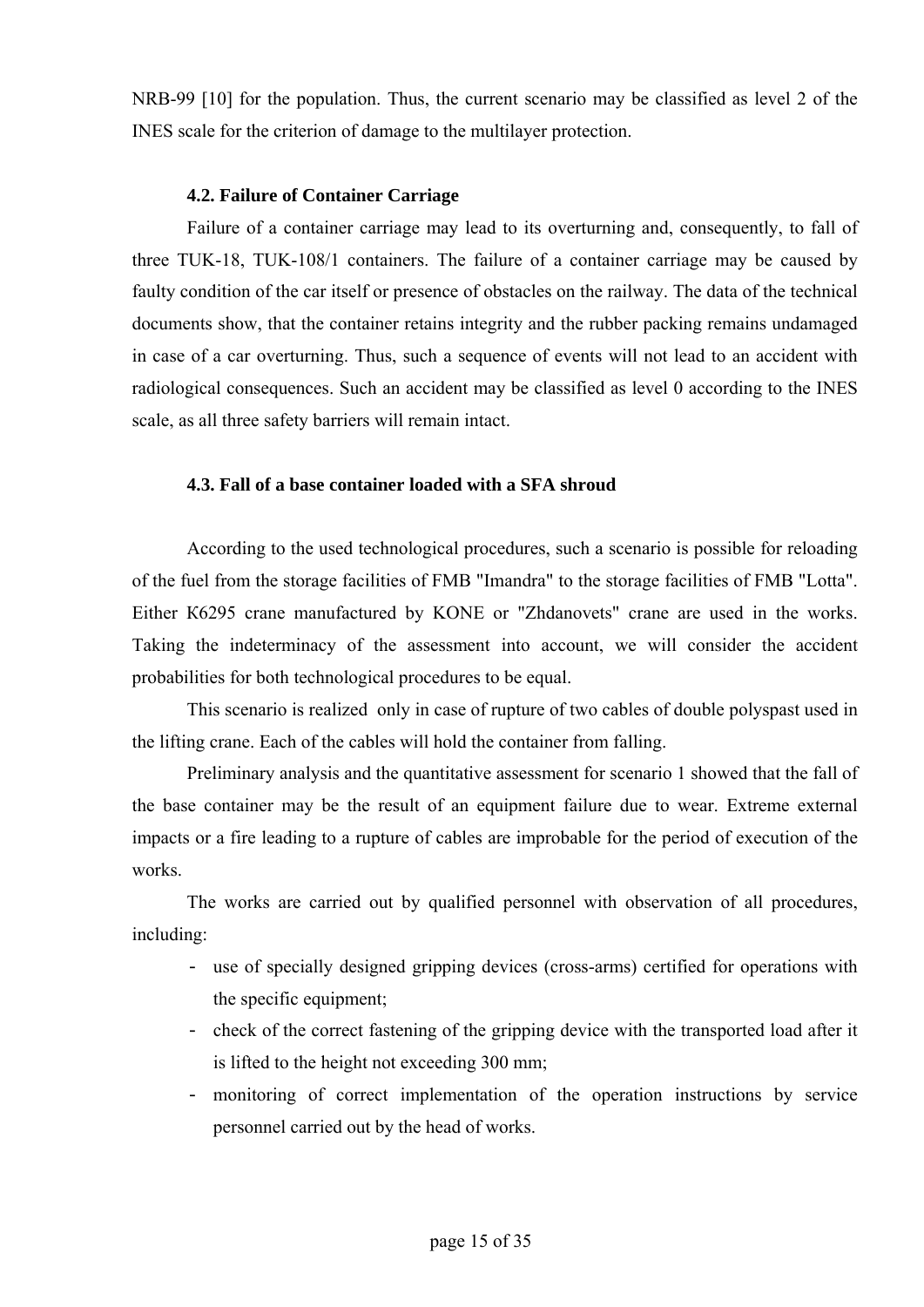NRB-99 [10] for the population. Thus, the current scenario may be classified as level 2 of the INES scale for the criterion of damage to the multilayer protection.

### **4.2. Failure of Container Carriage**

Failure of a container carriage may lead to its overturning and, consequently, to fall of three TUK-18, TUK-108/1 containers. The failure of a container carriage may be caused by faulty condition of the car itself or presence of obstacles on the railway. The data of the technical documents show, that the container retains integrity and the rubber packing remains undamaged in case of a car overturning. Thus, such a sequence of events will not lead to an accident with radiological consequences. Such an accident may be classified as level 0 according to the INES scale, as all three safety barriers will remain intact.

## **4.3. Fall of a base container loaded with a SFA shroud**

According to the used technological procedures, such a scenario is possible for reloading of the fuel from the storage facilities of FMB "Imandra" to the storage facilities of FMB "Lotta". Either К6295 crane manufactured by KONE or "Zhdanovets" crane are used in the works. Taking the indeterminacy of the assessment into account, we will consider the accident probabilities for both technological procedures to be equal.

This scenario is realized only in case of rupture of two cables of double polyspast used in the lifting crane. Each of the cables will hold the container from falling.

Preliminary analysis and the quantitative assessment for scenario 1 showed that the fall of the base container may be the result of an equipment failure due to wear. Extreme external impacts or a fire leading to a rupture of cables are improbable for the period of execution of the works.

The works are carried out by qualified personnel with observation of all procedures, including:

- use of specially designed gripping devices (cross-arms) certified for operations with the specific equipment;
- check of the correct fastening of the gripping device with the transported load after it is lifted to the height not exceeding 300 mm;
- monitoring of correct implementation of the operation instructions by service personnel carried out by the head of works.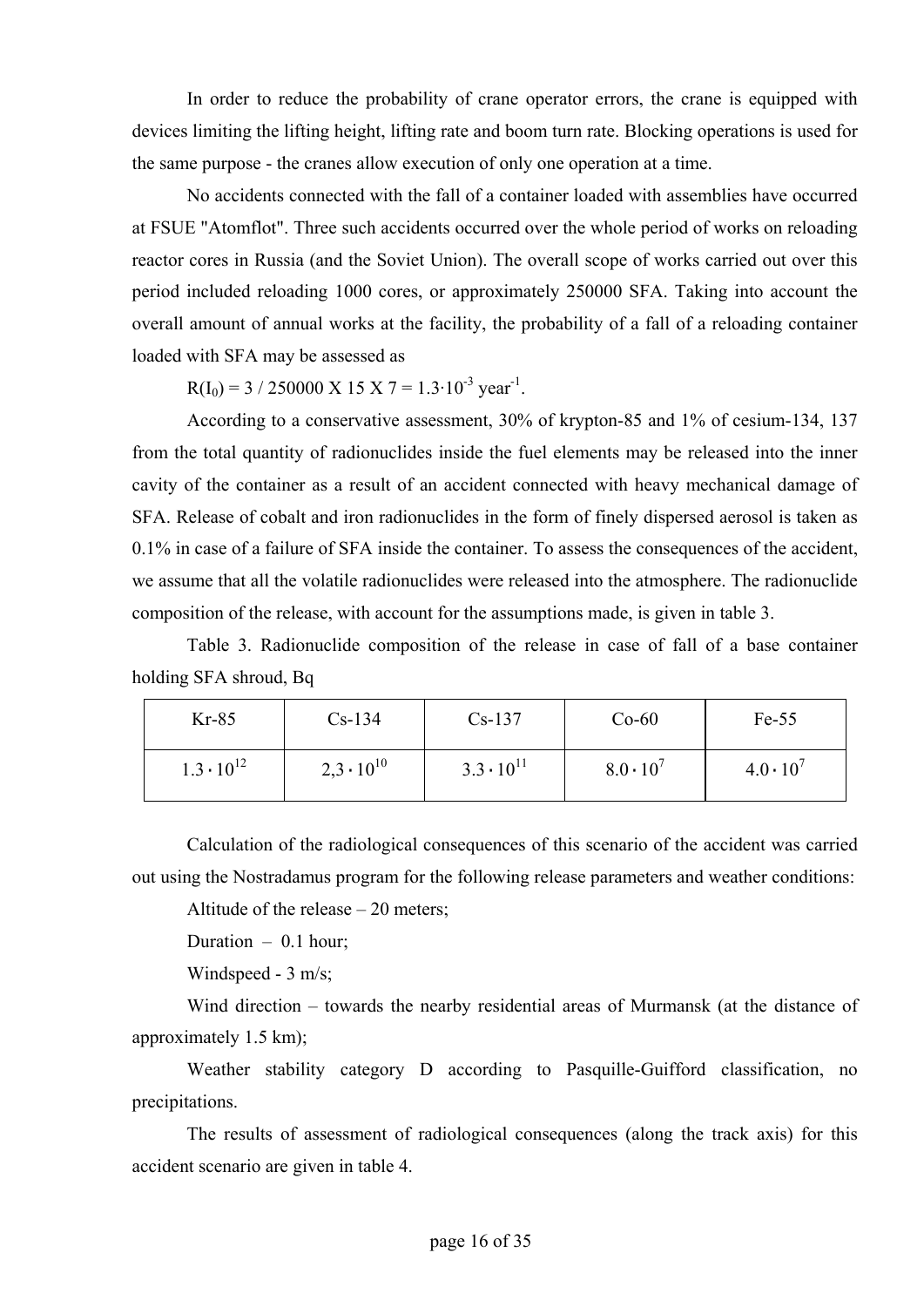In order to reduce the probability of crane operator errors, the crane is equipped with devices limiting the lifting height, lifting rate and boom turn rate. Blocking operations is used for the same purpose - the cranes allow execution of only one operation at a time.

No accidents connected with the fall of a container loaded with assemblies have occurred at FSUE "Atomflot". Three such accidents occurred over the whole period of works on reloading reactor cores in Russia (and the Soviet Union). The overall scope of works carried out over this period included reloading 1000 cores, or approximately 250000 SFA. Taking into account the overall amount of annual works at the facility, the probability of a fall of a reloading container loaded with SFA may be assessed as

 $R(I_0) = 3 / 250000 \text{ X} 15 \text{ X} 7 = 1.3 \cdot 10^{-3} \text{ year}^{-1}$ .

According to a conservative assessment, 30% of krypton-85 and 1% of cesium-134, 137 from the total quantity of radionuclides inside the fuel elements may be released into the inner cavity of the container as a result of an accident connected with heavy mechanical damage of SFA. Release of cobalt and iron radionuclides in the form of finely dispersed aerosol is taken as 0.1% in case of a failure of SFA inside the container. To assess the consequences of the accident, we assume that all the volatile radionuclides were released into the atmosphere. The radionuclide composition of the release, with account for the assumptions made, is given in table 3.

Table 3. Radionuclide composition of the release in case of fall of a base container holding SFA shroud, Bq

| $Kr-85$             | $Cs-134$            | $Cs-137$            | $Co-60$            | $Fe-55$            |
|---------------------|---------------------|---------------------|--------------------|--------------------|
| $1.3 \cdot 10^{12}$ | $2,3 \cdot 10^{10}$ | $3.3 \cdot 10^{11}$ | $8.0 \cdot 10^{7}$ | $4.0 \cdot 10^{7}$ |

Calculation of the radiological consequences of this scenario of the accident was carried out using the Nostradamus program for the following release parameters and weather conditions:

Altitude of the release – 20 meters;

Duration  $-0.1$  hour;

Windspeed - 3 m/s;

Wind direction – towards the nearby residential areas of Murmansk (at the distance of approximately 1.5 km);

Weather stability category D according to Pasquille-Guifford classification, no precipitations.

The results of assessment of radiological consequences (along the track axis) for this accident scenario are given in table 4.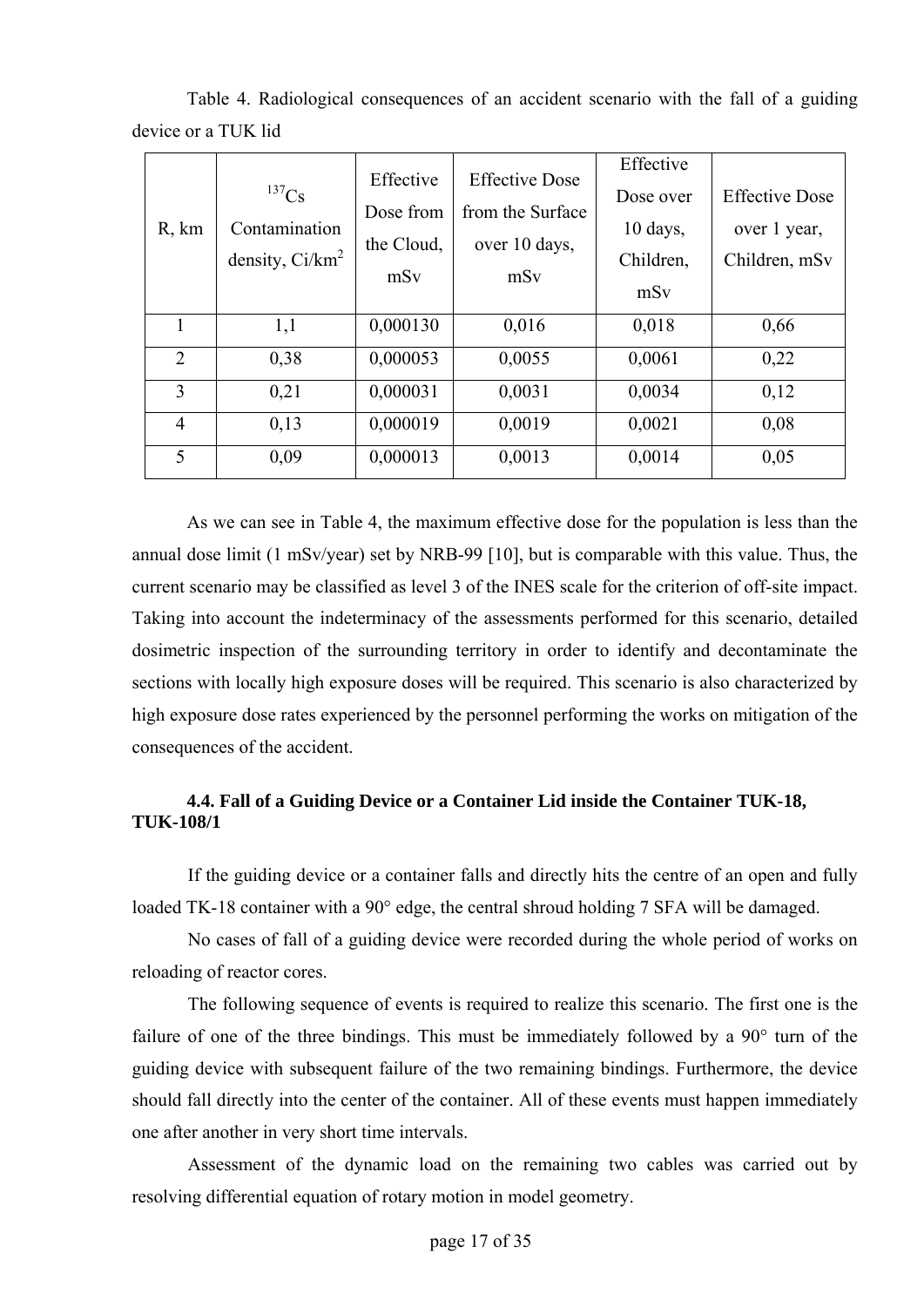| R, km          | $^{137}Cs$<br>Contamination<br>density, $Ci/km^2$ | Effective<br>Dose from<br>the Cloud,<br>mSv | <b>Effective Dose</b><br>from the Surface<br>over 10 days,<br>mSv | Effective<br>Dose over<br>$10 \text{ days}$ ,<br>Children,<br>mSy | <b>Effective Dose</b><br>over 1 year,<br>Children, mSv |
|----------------|---------------------------------------------------|---------------------------------------------|-------------------------------------------------------------------|-------------------------------------------------------------------|--------------------------------------------------------|
|                | 1,1                                               | 0,000130                                    | 0,016                                                             | 0,018                                                             | 0,66                                                   |
| $\overline{2}$ | 0,38                                              | 0,000053                                    | 0,0055                                                            | 0,0061                                                            | 0,22                                                   |
| 3              | 0,21                                              | 0,000031                                    | 0,0031                                                            | 0,0034                                                            | 0,12                                                   |
| $\overline{4}$ | 0,13                                              | 0,000019                                    | 0,0019                                                            | 0,0021                                                            | 0,08                                                   |
| 5              | 0,09                                              | 0,000013                                    | 0,0013                                                            | 0,0014                                                            | 0,05                                                   |

Table 4. Radiological consequences of an accident scenario with the fall of a guiding device or a TUK lid

As we can see in Table 4, the maximum effective dose for the population is less than the annual dose limit (1 mSv/year) set by NRB-99 [10], but is comparable with this value. Thus, the current scenario may be classified as level 3 of the INES scale for the criterion of off-site impact. Taking into account the indeterminacy of the assessments performed for this scenario, detailed dosimetric inspection of the surrounding territory in order to identify and decontaminate the sections with locally high exposure doses will be required. This scenario is also characterized by high exposure dose rates experienced by the personnel performing the works on mitigation of the consequences of the accident.

## **4.4. Fall of a Guiding Device or a Container Lid inside the Container TUK-18, TUK-108/1**

If the guiding device or a container falls and directly hits the centre of an open and fully loaded TK-18 container with a 90° edge, the central shroud holding 7 SFA will be damaged.

No cases of fall of a guiding device were recorded during the whole period of works on reloading of reactor cores.

The following sequence of events is required to realize this scenario. The first one is the failure of one of the three bindings. This must be immediately followed by a 90° turn of the guiding device with subsequent failure of the two remaining bindings. Furthermore, the device should fall directly into the center of the container. All of these events must happen immediately one after another in very short time intervals.

Assessment of the dynamic load on the remaining two cables was carried out by resolving differential equation of rotary motion in model geometry.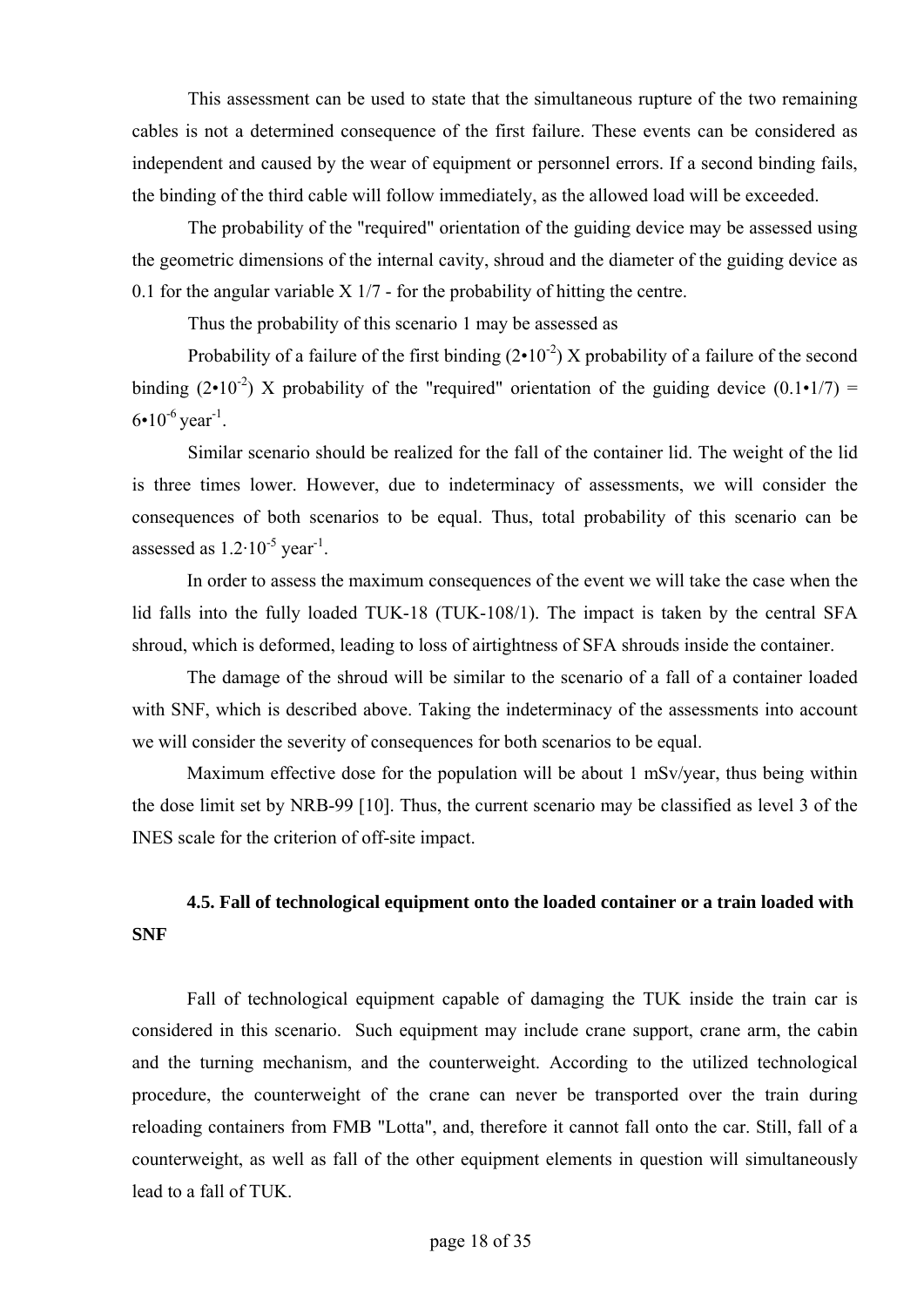This assessment can be used to state that the simultaneous rupture of the two remaining cables is not a determined consequence of the first failure. These events can be considered as independent and caused by the wear of equipment or personnel errors. If a second binding fails, the binding of the third cable will follow immediately, as the allowed load will be exceeded.

The probability of the "required" orientation of the guiding device may be assessed using the geometric dimensions of the internal cavity, shroud and the diameter of the guiding device as 0.1 for the angular variable  $X$  1/7 - for the probability of hitting the centre.

Thus the probability of this scenario 1 may be assessed as

Probability of a failure of the first binding  $(2 \cdot 10^{-2})$  X probability of a failure of the second binding (2•10<sup>-2</sup>) X probability of the "required" orientation of the guiding device (0.1•1/7) =  $6•10^{-6}$  year<sup>-1</sup>.

Similar scenario should be realized for the fall of the container lid. The weight of the lid is three times lower. However, due to indeterminacy of assessments, we will consider the consequences of both scenarios to be equal. Thus, total probability of this scenario can be assessed as  $1.2 \cdot 10^{-5}$  year<sup>-1</sup>.

In order to assess the maximum consequences of the event we will take the case when the lid falls into the fully loaded TUK-18 (TUK-108/1). The impact is taken by the central SFA shroud, which is deformed, leading to loss of airtightness of SFA shrouds inside the container.

The damage of the shroud will be similar to the scenario of a fall of a container loaded with SNF, which is described above. Taking the indeterminacy of the assessments into account we will consider the severity of consequences for both scenarios to be equal.

Maximum effective dose for the population will be about 1 mSv/year, thus being within the dose limit set by NRB-99 [10]. Thus, the current scenario may be classified as level 3 of the INES scale for the criterion of off-site impact.

## **4.5. Fall of technological equipment onto the loaded container or a train loaded with SNF**

Fall of technological equipment capable of damaging the TUK inside the train car is considered in this scenario. Such equipment may include crane support, crane arm, the cabin and the turning mechanism, and the counterweight. According to the utilized technological procedure, the counterweight of the crane can never be transported over the train during reloading containers from FMB "Lotta", and, therefore it cannot fall onto the car. Still, fall of a counterweight, as well as fall of the other equipment elements in question will simultaneously lead to a fall of TUK.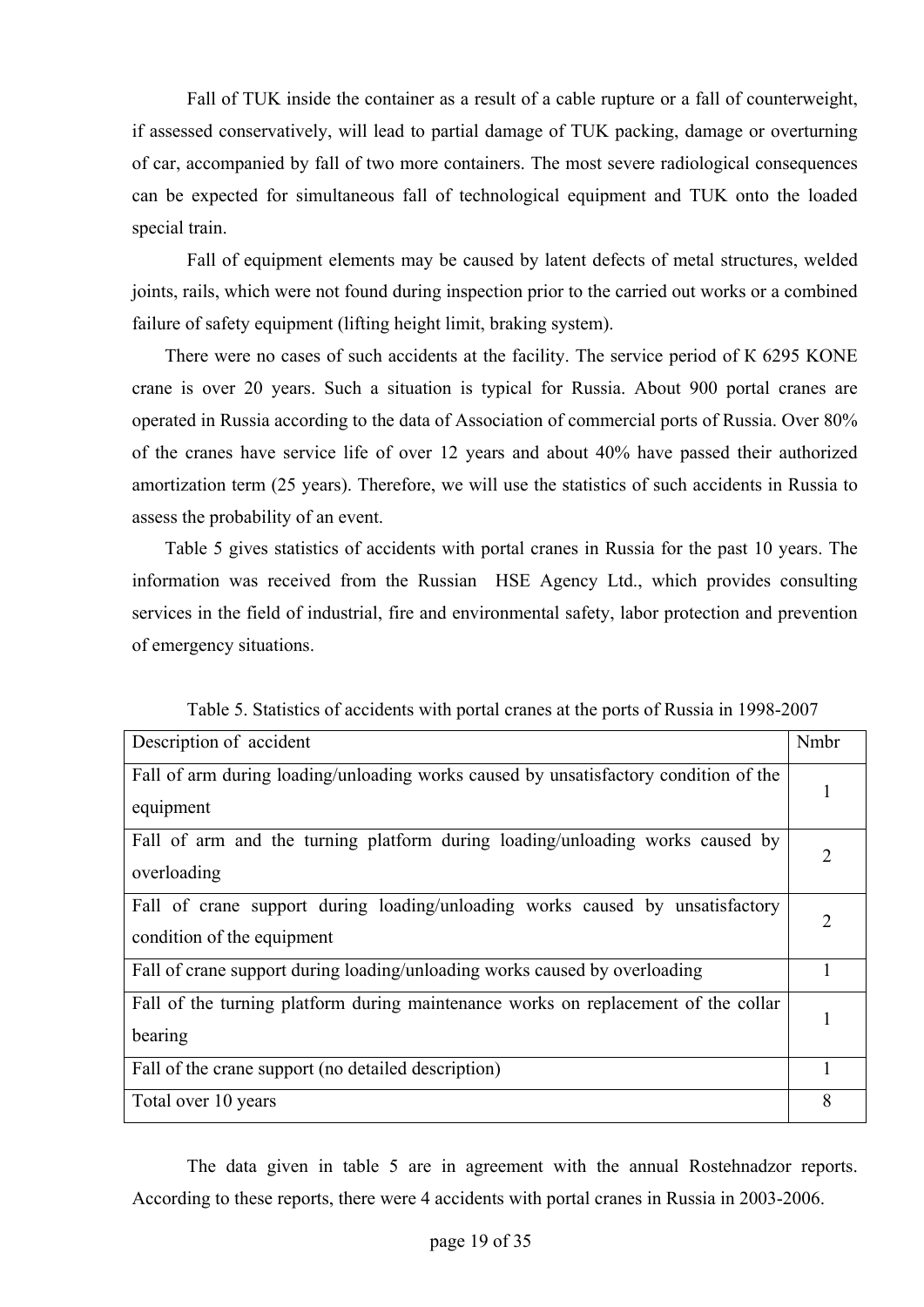Fall of TUK inside the container as a result of a cable rupture or a fall of counterweight, if assessed conservatively, will lead to partial damage of TUK packing, damage or overturning of car, accompanied by fall of two more containers. The most severe radiological consequences can be expected for simultaneous fall of technological equipment and TUK onto the loaded special train.

Fall of equipment elements may be caused by latent defects of metal structures, welded joints, rails, which were not found during inspection prior to the carried out works or a combined failure of safety equipment (lifting height limit, braking system).

There were no cases of such accidents at the facility. The service period of К 6295 KONE crane is over 20 years. Such a situation is typical for Russia. About 900 portal cranes are operated in Russia according to the data of Association of commercial ports of Russia. Over 80% of the cranes have service life of over 12 years and about 40% have passed their authorized amortization term (25 years). Therefore, we will use the statistics of such accidents in Russia to assess the probability of an event.

Table 5 gives statistics of accidents with portal cranes in Russia for the past 10 years. The information was received from the Russian HSE Agency Ltd., which provides consulting services in the field of industrial, fire and environmental safety, labor protection and prevention of emergency situations.

| Description of accident                                                              | Nmbr           |
|--------------------------------------------------------------------------------------|----------------|
| Fall of arm during loading/unloading works caused by unsatisfactory condition of the |                |
| equipment                                                                            |                |
| Fall of arm and the turning platform during loading/unloading works caused by        | $\overline{2}$ |
| overloading                                                                          |                |
| Fall of crane support during loading/unloading works caused by unsatisfactory        |                |
| condition of the equipment                                                           |                |
| Fall of crane support during loading/unloading works caused by overloading           |                |
| Fall of the turning platform during maintenance works on replacement of the collar   |                |
| bearing                                                                              |                |
| Fall of the crane support (no detailed description)                                  |                |
| Total over 10 years                                                                  | 8              |

Table 5. Statistics of accidents with portal cranes at the ports of Russia in 1998-2007

The data given in table 5 are in agreement with the annual Rostehnadzor reports. According to these reports, there were 4 accidents with portal cranes in Russia in 2003-2006.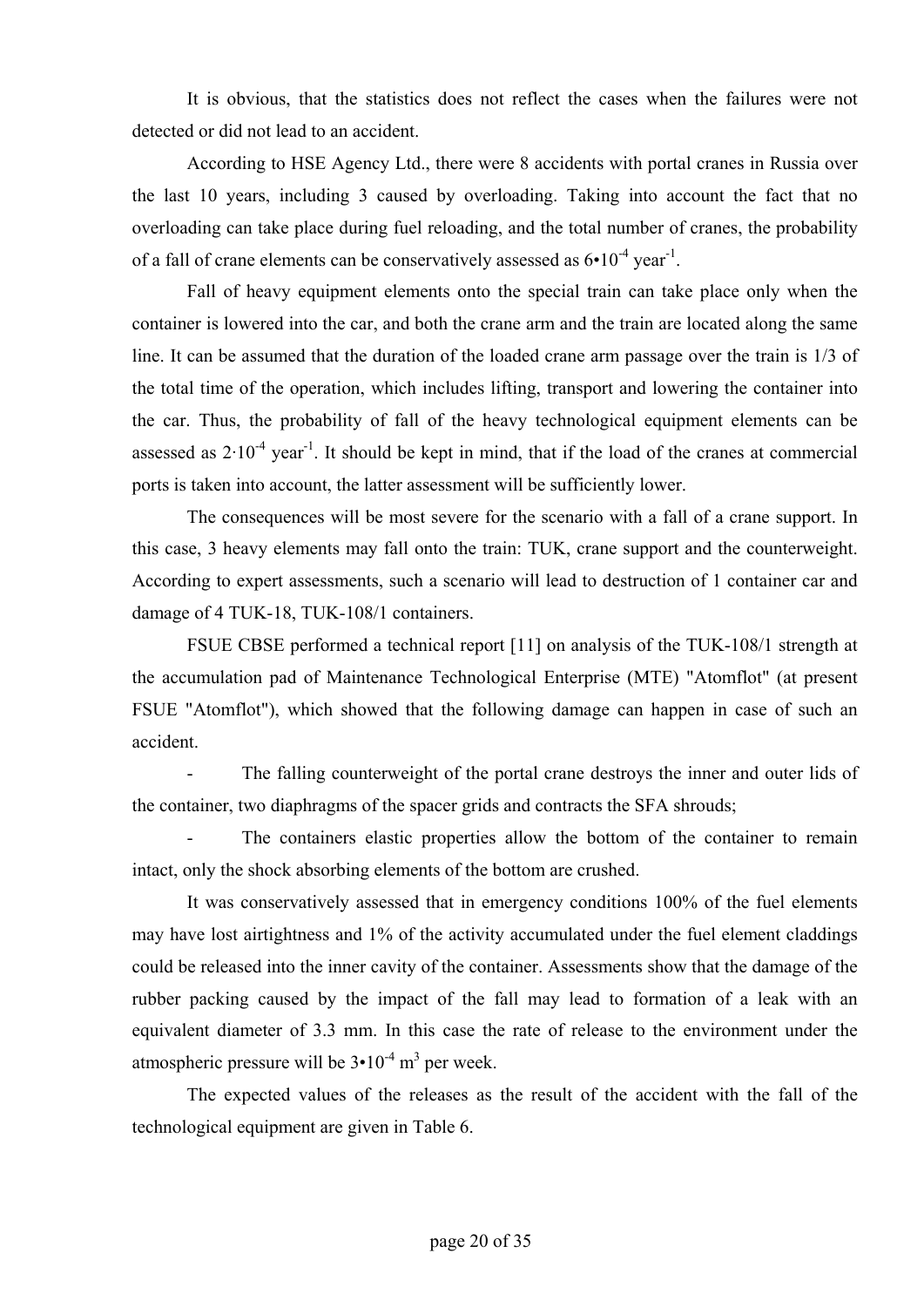It is obvious, that the statistics does not reflect the cases when the failures were not detected or did not lead to an accident.

According to HSE Agency Ltd., there were 8 accidents with portal cranes in Russia over the last 10 years, including 3 caused by overloading. Taking into account the fact that no overloading can take place during fuel reloading, and the total number of cranes, the probability of a fall of crane elements can be conservatively assessed as  $6 \cdot 10^{-4}$  year<sup>-1</sup>.

Fall of heavy equipment elements onto the special train can take place only when the container is lowered into the car, and both the crane arm and the train are located along the same line. It can be assumed that the duration of the loaded crane arm passage over the train is 1/3 of the total time of the operation, which includes lifting, transport and lowering the container into the car. Thus, the probability of fall of the heavy technological equipment elements can be assessed as  $2.10^{-4}$  year<sup>-1</sup>. It should be kept in mind, that if the load of the cranes at commercial ports is taken into account, the latter assessment will be sufficiently lower.

The consequences will be most severe for the scenario with a fall of a crane support. In this case, 3 heavy elements may fall onto the train: TUK, crane support and the counterweight. According to expert assessments, such a scenario will lead to destruction of 1 container car and damage of 4 TUK-18, TUK-108/1 containers.

FSUE CBSE performed a technical report [11] on analysis of the TUK-108/1 strength at the accumulation pad of Maintenance Technological Enterprise (MTE) "Atomflot" (at present FSUE "Atomflot"), which showed that the following damage can happen in case of such an accident.

The falling counterweight of the portal crane destroys the inner and outer lids of the container, two diaphragms of the spacer grids and contracts the SFA shrouds;

The containers elastic properties allow the bottom of the container to remain intact, only the shock absorbing elements of the bottom are crushed.

It was conservatively assessed that in emergency conditions 100% of the fuel elements may have lost airtightness and 1% of the activity accumulated under the fuel element claddings could be released into the inner cavity of the container. Assessments show that the damage of the rubber packing caused by the impact of the fall may lead to formation of a leak with an equivalent diameter of 3.3 mm. In this case the rate of release to the environment under the atmospheric pressure will be  $3 \cdot 10^{-4}$  m<sup>3</sup> per week.

The expected values of the releases as the result of the accident with the fall of the technological equipment are given in Table 6.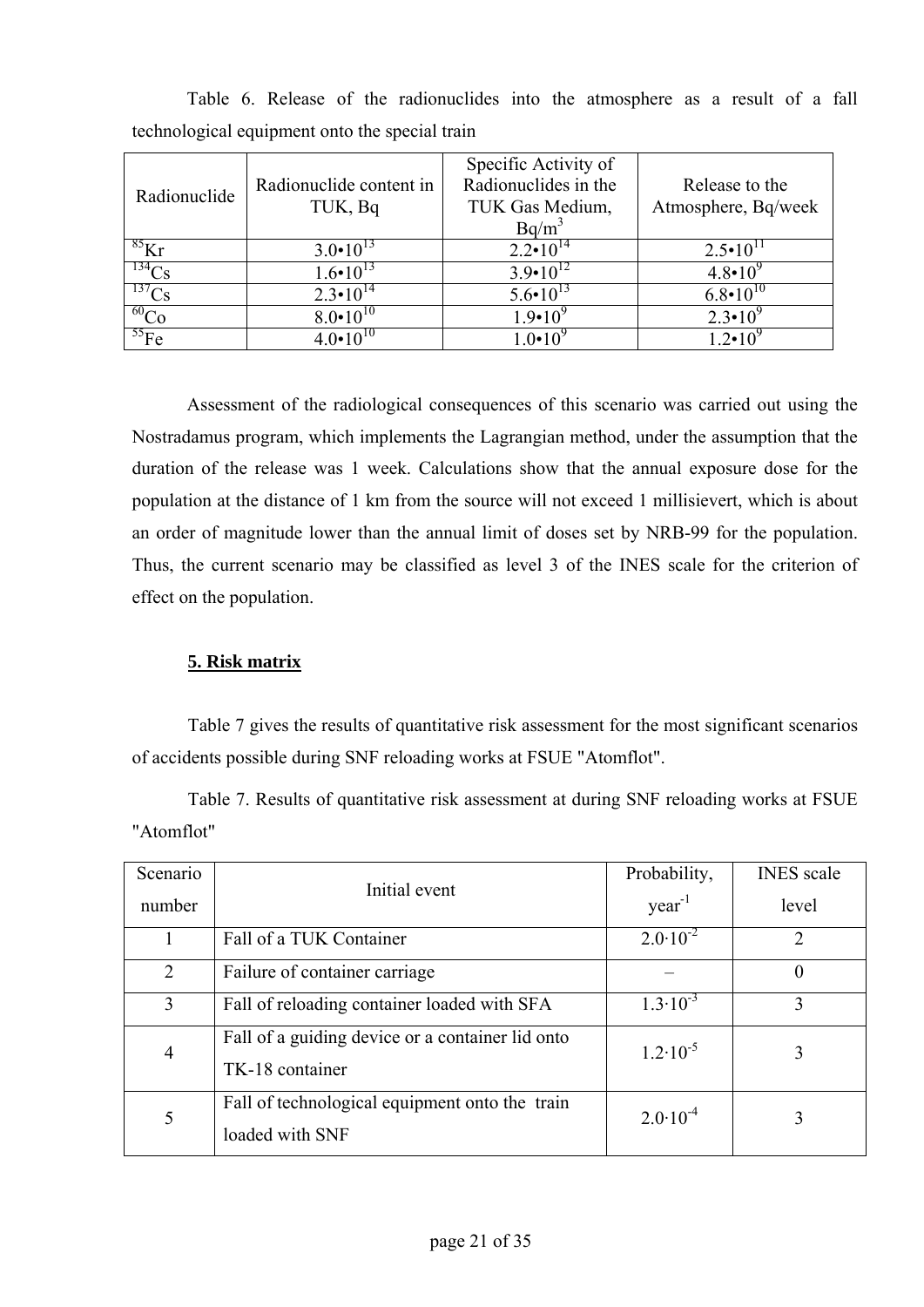| Radionuclide | Radionuclide content in<br>TUK, Bq | Specific Activity of<br>Radionuclides in the<br>TUK Gas Medium,<br>$Bq/m^3$ | Release to the<br>Atmosphere, Bq/week |
|--------------|------------------------------------|-----------------------------------------------------------------------------|---------------------------------------|
| ${}^{85}$ Kr | $3.0 \cdot 10^{13}$                | $2.2 \cdot 10^{14}$                                                         | $2.5 \cdot 10^{11}$                   |
| $^{134}Cs$   | $1.6 \cdot 10^{13}$                | $3.9 \cdot 10^{12}$                                                         | $4.8 \cdot 10^{9}$                    |
| $^{137}Cs$   | $2.3 \cdot 10^{14}$                | $5.6 \cdot 10^{13}$                                                         | $6.8 \cdot 10^{10}$                   |
| $^{60}$ Co   | $8.0 \cdot 10^{10}$                | $1.9 \cdot 10^{9}$                                                          | $2.3 \cdot 10^{9}$                    |
| $^{55}Fe$    | 4 0.10 <sup>10</sup>               | 1 $0 \cdot 10^{9}$                                                          | $12 \cdot 10^{9}$                     |

Table 6. Release of the radionuclides into the atmosphere as a result of a fall technological equipment onto the special train

Assessment of the radiological consequences of this scenario was carried out using the Nostradamus program, which implements the Lagrangian method, under the assumption that the duration of the release was 1 week. Calculations show that the annual exposure dose for the population at the distance of 1 km from the source will not exceed 1 millisievert, which is about an order of magnitude lower than the annual limit of doses set by NRB-99 for the population. Thus, the current scenario may be classified as level 3 of the INES scale for the criterion of effect on the population.

## **5. Risk matrix**

Table 7 gives the results of quantitative risk assessment for the most significant scenarios of accidents possible during SNF reloading works at FSUE "Atomflot".

Table 7. Results of quantitative risk assessment at during SNF reloading works at FSUE "Atomflot"

| Scenario       |                                                                     | Probability,        | <b>INES</b> scale |
|----------------|---------------------------------------------------------------------|---------------------|-------------------|
| number         | Initial event                                                       | $year-1$            | level             |
|                | Fall of a TUK Container                                             | $2.0 \cdot 10^{-2}$ | $\overline{2}$    |
| 2              | Failure of container carriage                                       |                     | $\Omega$          |
| 3              | Fall of reloading container loaded with SFA                         | $1.3 \cdot 10^{-3}$ | 3                 |
| $\overline{4}$ | Fall of a guiding device or a container lid onto<br>TK-18 container | $1.2 \cdot 10^{-5}$ | 3                 |
| 5              | Fall of technological equipment onto the train<br>loaded with SNF   | $2.0 \cdot 10^{-4}$ | 3                 |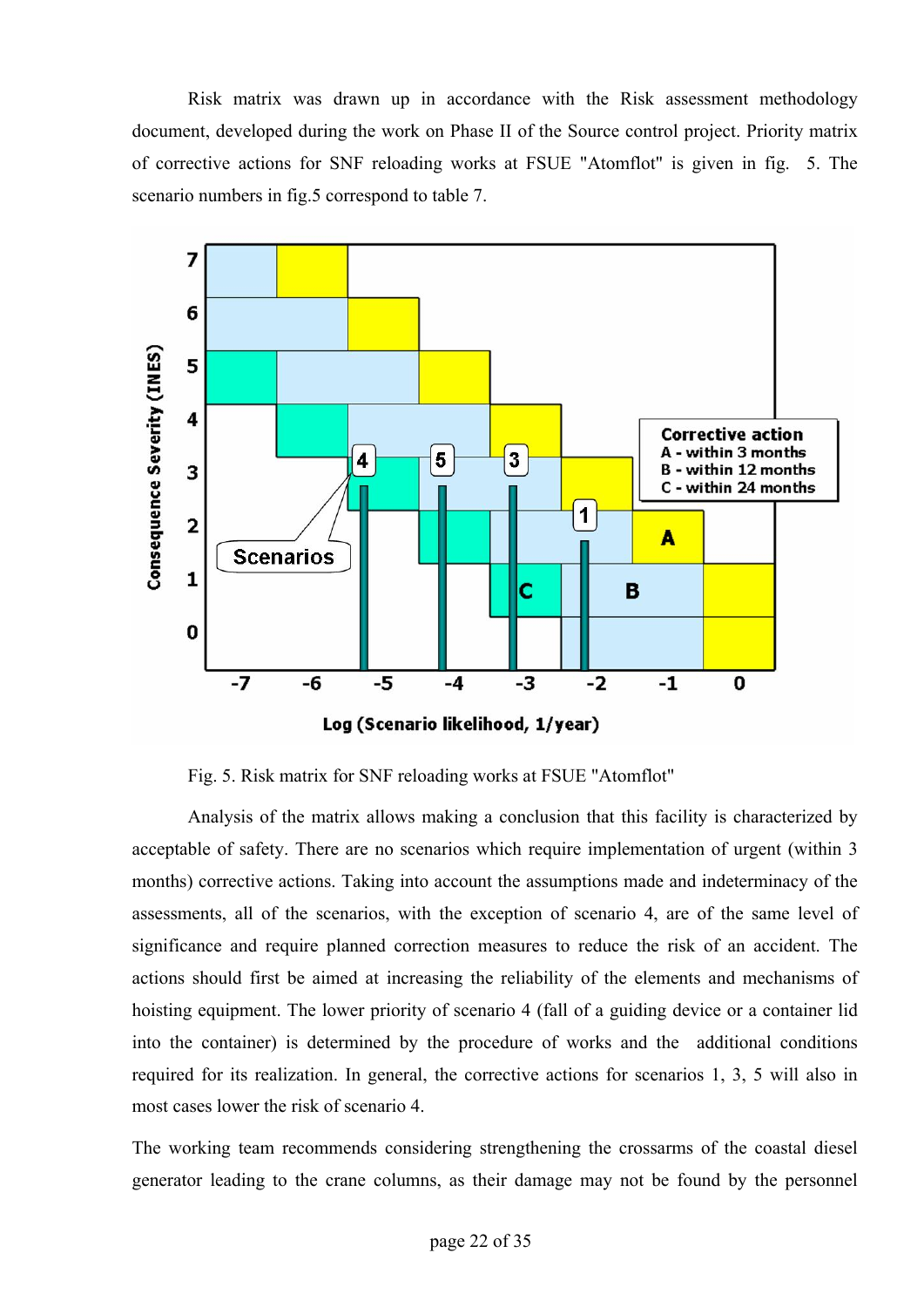Risk matrix was drawn up in accordance with the Risk assessment methodology document, developed during the work on Phase II of the Source control project. Priority matrix of corrective actions for SNF reloading works at FSUE "Atomflot" is given in fig. 5. The scenario numbers in fig.5 correspond to table 7.



Fig. 5. Risk matrix for SNF reloading works at FSUE "Atomflot"

Analysis of the matrix allows making a conclusion that this facility is characterized by acceptable of safety. There are no scenarios which require implementation of urgent (within 3 months) corrective actions. Taking into account the assumptions made and indeterminacy of the assessments, all of the scenarios, with the exception of scenario 4, are of the same level of significance and require planned correction measures to reduce the risk of an accident. The actions should first be aimed at increasing the reliability of the elements and mechanisms of hoisting equipment. The lower priority of scenario 4 (fall of a guiding device or a container lid into the container) is determined by the procedure of works and the additional conditions required for its realization. In general, the corrective actions for scenarios 1, 3, 5 will also in most cases lower the risk of scenario 4.

The working team recommends considering strengthening the crossarms of the coastal diesel generator leading to the crane columns, as their damage may not be found by the personnel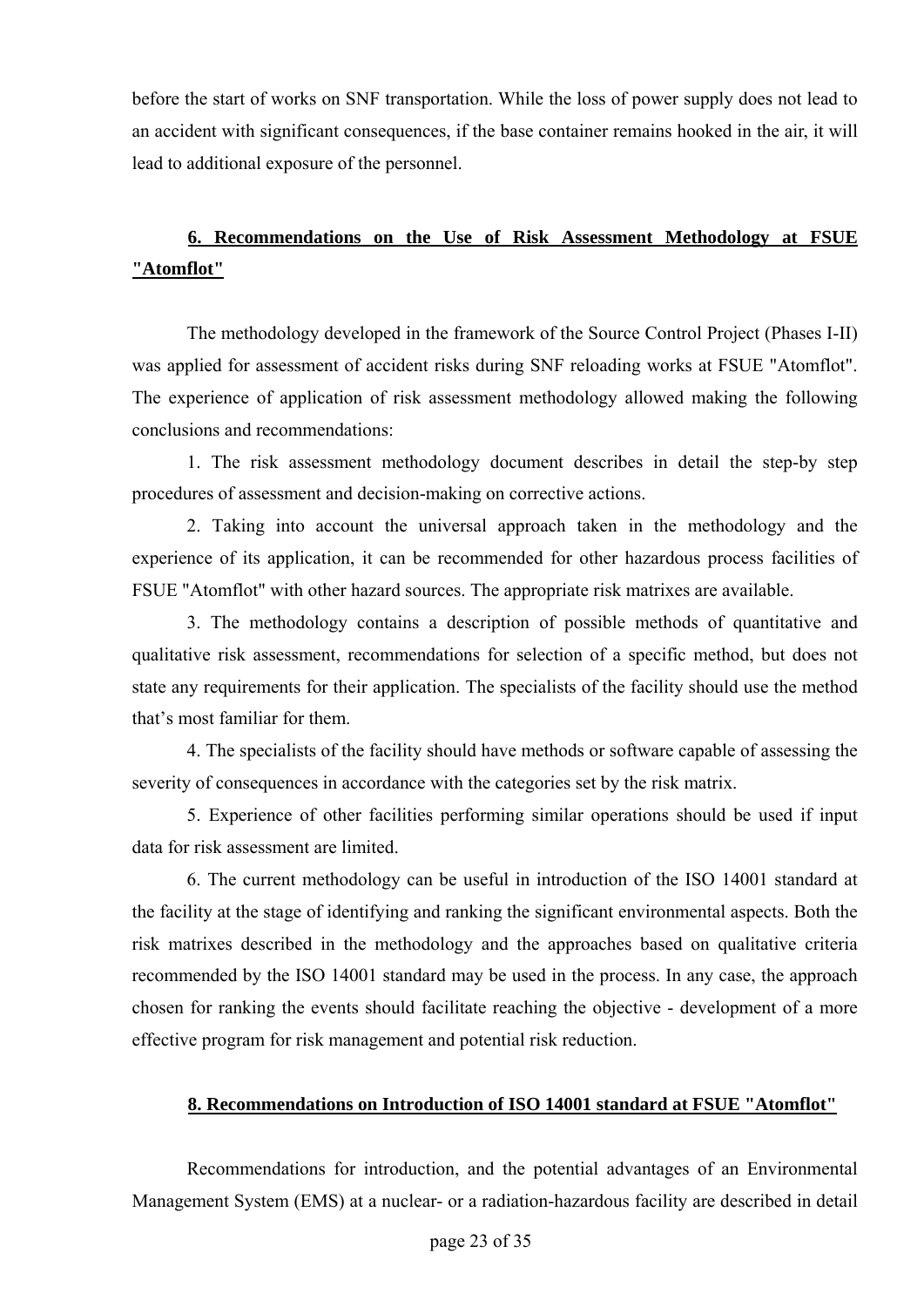before the start of works on SNF transportation. While the loss of power supply does not lead to an accident with significant consequences, if the base container remains hooked in the air, it will lead to additional exposure of the personnel.

## **6. Recommendations on the Use of Risk Assessment Methodology at FSUE "Atomflot"**

The methodology developed in the framework of the Source Control Project (Phases I-II) was applied for assessment of accident risks during SNF reloading works at FSUE "Atomflot". The experience of application of risk assessment methodology allowed making the following conclusions and recommendations:

1. The risk assessment methodology document describes in detail the step-by step procedures of assessment and decision-making on corrective actions.

2. Taking into account the universal approach taken in the methodology and the experience of its application, it can be recommended for other hazardous process facilities of FSUE "Atomflot" with other hazard sources. The appropriate risk matrixes are available.

3. The methodology contains a description of possible methods of quantitative and qualitative risk assessment, recommendations for selection of a specific method, but does not state any requirements for their application. The specialists of the facility should use the method that's most familiar for them.

4. The specialists of the facility should have methods or software capable of assessing the severity of consequences in accordance with the categories set by the risk matrix.

5. Experience of other facilities performing similar operations should be used if input data for risk assessment are limited.

6. The current methodology can be useful in introduction of the ISO 14001 standard at the facility at the stage of identifying and ranking the significant environmental aspects. Both the risk matrixes described in the methodology and the approaches based on qualitative criteria recommended by the ISO 14001 standard may be used in the process. In any case, the approach chosen for ranking the events should facilitate reaching the objective - development of a more effective program for risk management and potential risk reduction.

## **8. Recommendations on Introduction of ISO 14001 standard at FSUE "Atomflot"**

Recommendations for introduction, and the potential advantages of an Environmental Management System (EMS) at a nuclear- or a radiation-hazardous facility are described in detail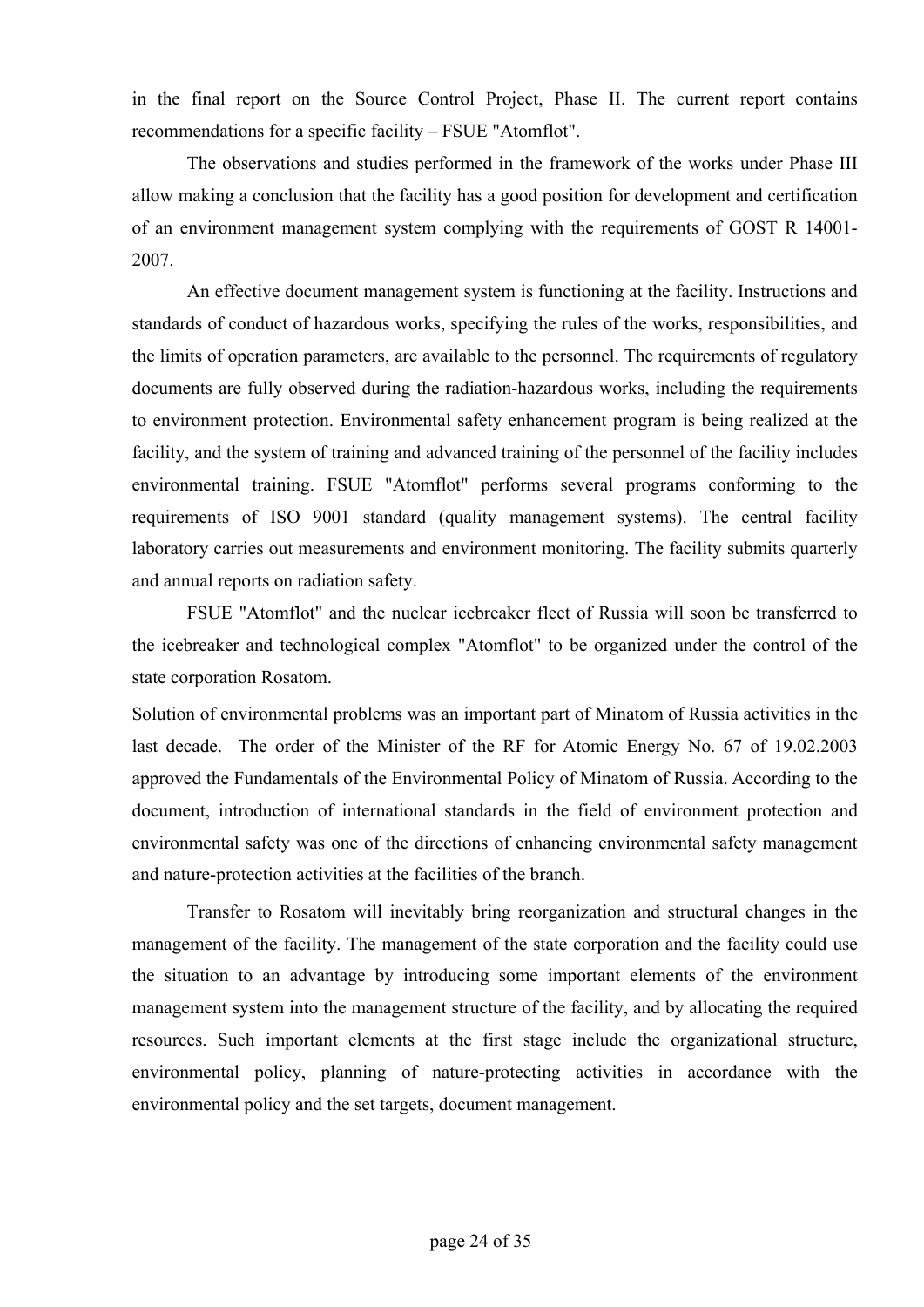in the final report on the Source Control Project, Phase II. The current report contains recommendations for a specific facility – FSUE "Atomflot".

The observations and studies performed in the framework of the works under Phase III allow making a conclusion that the facility has a good position for development and certification of an environment management system complying with the requirements of GOST R 14001- 2007.

An effective document management system is functioning at the facility. Instructions and standards of conduct of hazardous works, specifying the rules of the works, responsibilities, and the limits of operation parameters, are available to the personnel. The requirements of regulatory documents are fully observed during the radiation-hazardous works, including the requirements to environment protection. Environmental safety enhancement program is being realized at the facility, and the system of training and advanced training of the personnel of the facility includes environmental training. FSUE "Atomflot" performs several programs conforming to the requirements of ISO 9001 standard (quality management systems). The central facility laboratory carries out measurements and environment monitoring. The facility submits quarterly and annual reports on radiation safety.

FSUE "Atomflot" and the nuclear icebreaker fleet of Russia will soon be transferred to the icebreaker and technological complex "Atomflot" to be organized under the control of the state corporation Rosatom.

Solution of environmental problems was an important part of Minatom of Russia activities in the last decade. The order of the Minister of the RF for Atomic Energy No. 67 of 19.02.2003 approved the Fundamentals of the Environmental Policy of Minatom of Russia. According to the document, introduction of international standards in the field of environment protection and environmental safety was one of the directions of enhancing environmental safety management and nature-protection activities at the facilities of the branch.

Transfer to Rosatom will inevitably bring reorganization and structural changes in the management of the facility. The management of the state corporation and the facility could use the situation to an advantage by introducing some important elements of the environment management system into the management structure of the facility, and by allocating the required resources. Such important elements at the first stage include the organizational structure, environmental policy, planning of nature-protecting activities in accordance with the environmental policy and the set targets, document management.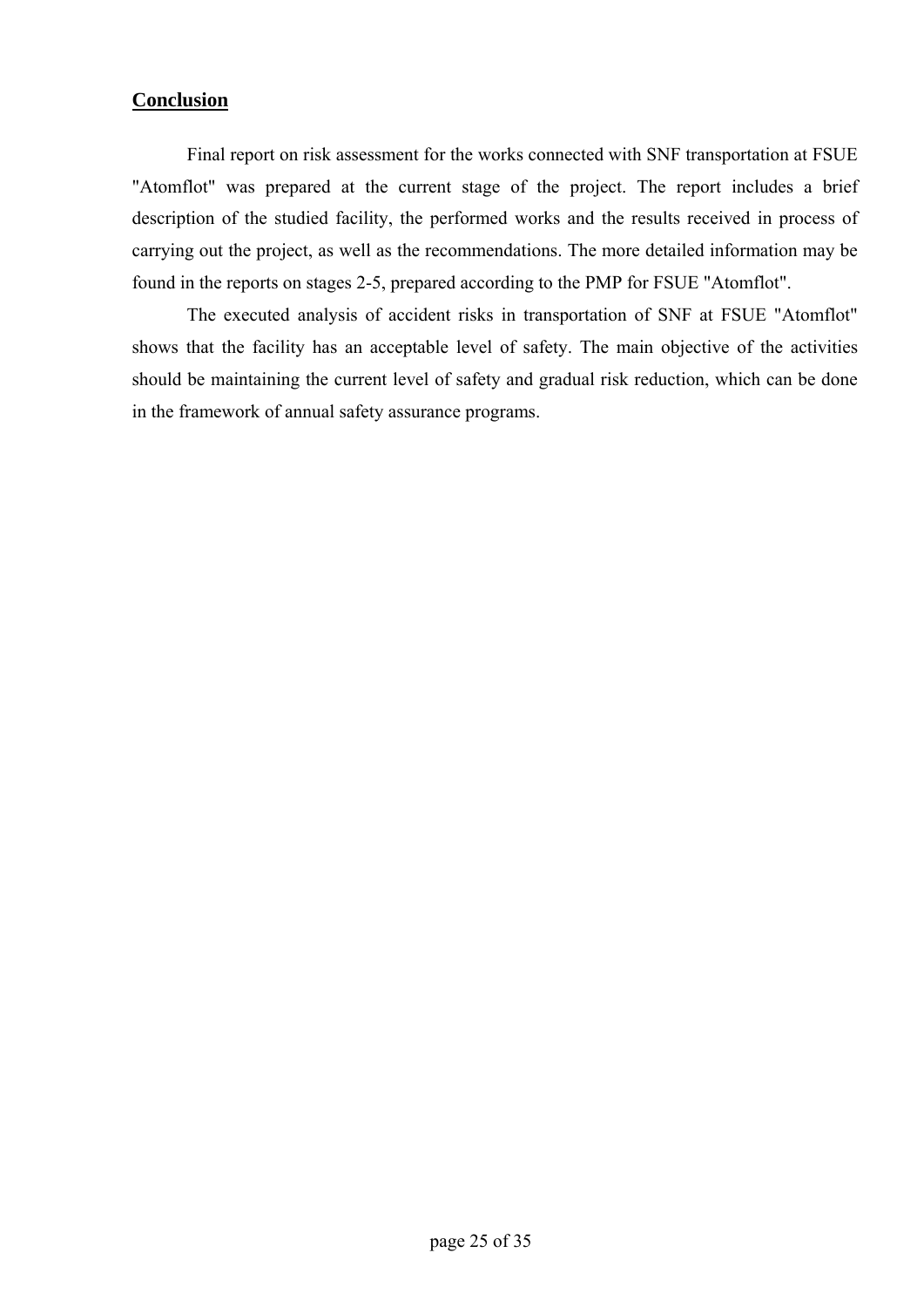## **Conclusion**

Final report on risk assessment for the works connected with SNF transportation at FSUE "Atomflot" was prepared at the current stage of the project. The report includes a brief description of the studied facility, the performed works and the results received in process of carrying out the project, as well as the recommendations. The more detailed information may be found in the reports on stages 2-5, prepared according to the PMP for FSUE "Atomflot".

The executed analysis of accident risks in transportation of SNF at FSUE "Atomflot" shows that the facility has an acceptable level of safety. The main objective of the activities should be maintaining the current level of safety and gradual risk reduction, which can be done in the framework of annual safety assurance programs.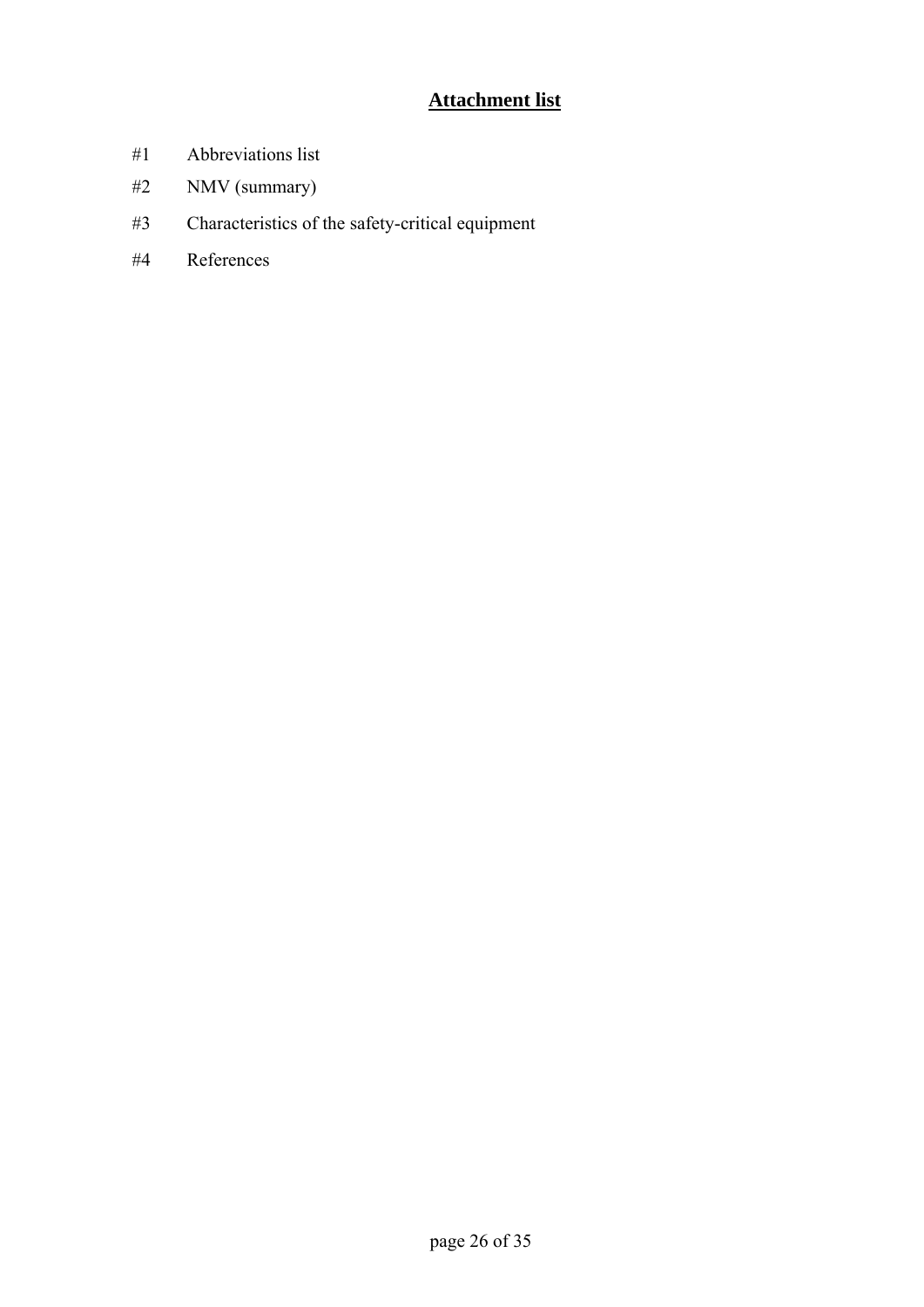## **Attachment list**

- #1 Abbreviations list
- #2 NMV (summary)
- #3 Characteristics of the safety-critical equipment
- #4 References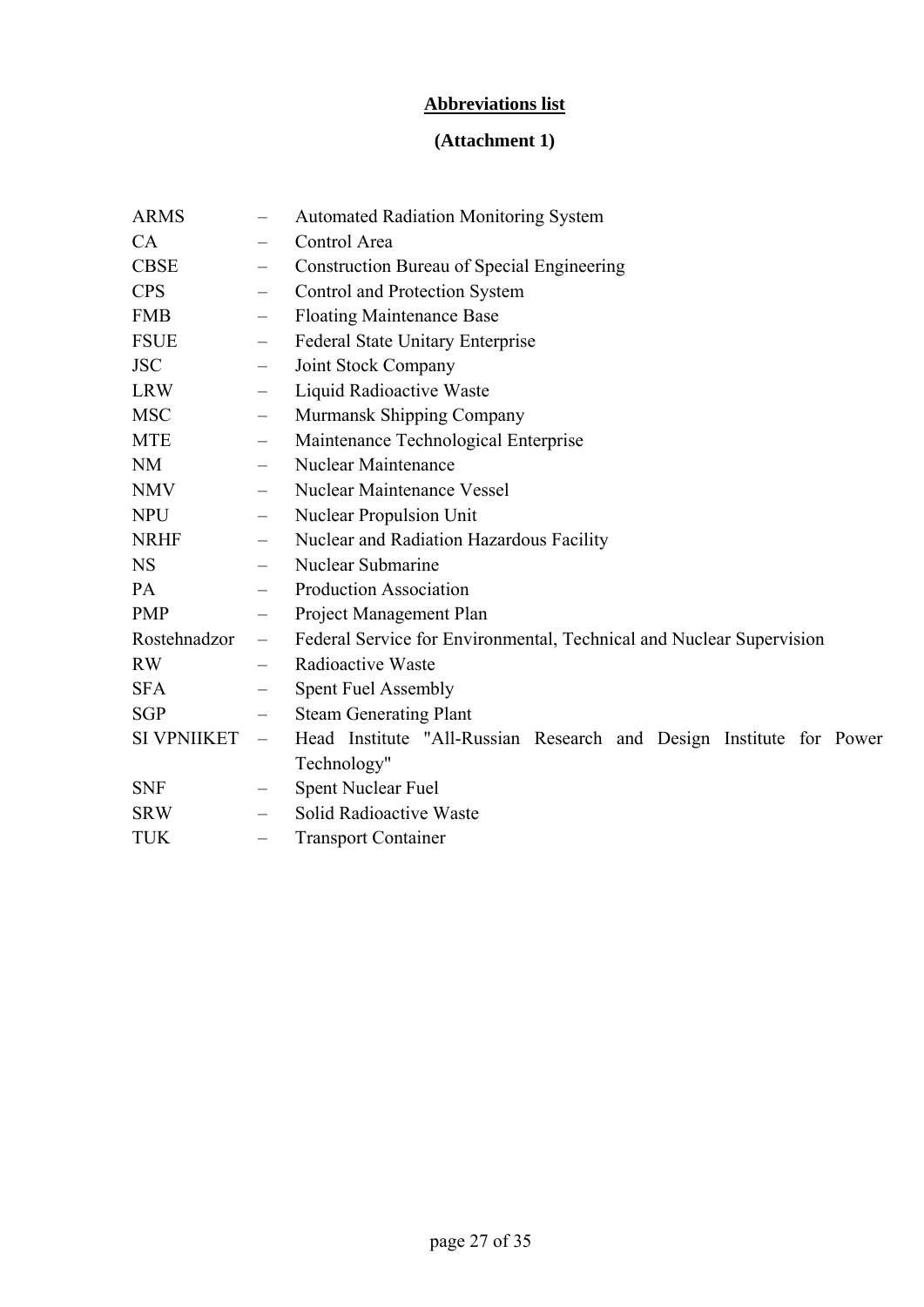## **Abbreviations list**

## **(Attachment 1)**

| <b>ARMS</b>        |                          | <b>Automated Radiation Monitoring System</b>                         |  |  |  |  |  |
|--------------------|--------------------------|----------------------------------------------------------------------|--|--|--|--|--|
| CA                 | $\qquad \qquad -$        | Control Area                                                         |  |  |  |  |  |
| <b>CBSE</b>        | $\qquad \qquad -$        | <b>Construction Bureau of Special Engineering</b>                    |  |  |  |  |  |
| <b>CPS</b>         | $\qquad \qquad -$        | Control and Protection System                                        |  |  |  |  |  |
| <b>FMB</b>         | $\qquad \qquad -$        | <b>Floating Maintenance Base</b>                                     |  |  |  |  |  |
| <b>FSUE</b>        | $\qquad \qquad -$        | <b>Federal State Unitary Enterprise</b>                              |  |  |  |  |  |
| <b>JSC</b>         | $\qquad \qquad -$        | Joint Stock Company                                                  |  |  |  |  |  |
| <b>LRW</b>         | $\qquad \qquad -$        | Liquid Radioactive Waste                                             |  |  |  |  |  |
| <b>MSC</b>         | $\qquad \qquad -$        | Murmansk Shipping Company                                            |  |  |  |  |  |
| <b>MTE</b>         | $\qquad \qquad -$        | Maintenance Technological Enterprise                                 |  |  |  |  |  |
| <b>NM</b>          | $\qquad \qquad -$        | Nuclear Maintenance                                                  |  |  |  |  |  |
| <b>NMV</b>         | $\qquad \qquad -$        | Nuclear Maintenance Vessel                                           |  |  |  |  |  |
| <b>NPU</b>         | $\qquad \qquad -$        | Nuclear Propulsion Unit                                              |  |  |  |  |  |
| <b>NRHF</b>        | $\overline{\phantom{m}}$ | Nuclear and Radiation Hazardous Facility                             |  |  |  |  |  |
| <b>NS</b>          | $\equiv$                 | Nuclear Submarine                                                    |  |  |  |  |  |
| PA                 |                          | <b>Production Association</b>                                        |  |  |  |  |  |
| <b>PMP</b>         | $\qquad \qquad -$        | Project Management Plan                                              |  |  |  |  |  |
| Rostehnadzor       | $\overline{\phantom{0}}$ | Federal Service for Environmental, Technical and Nuclear Supervision |  |  |  |  |  |
| <b>RW</b>          | $\qquad \qquad -$        | Radioactive Waste                                                    |  |  |  |  |  |
| <b>SFA</b>         | $\overline{\phantom{0}}$ | <b>Spent Fuel Assembly</b>                                           |  |  |  |  |  |
| <b>SGP</b>         | $\overline{\phantom{m}}$ | <b>Steam Generating Plant</b>                                        |  |  |  |  |  |
| <b>SI VPNIIKET</b> | $\qquad \qquad -$        | Head Institute "All-Russian Research and Design Institute for Power  |  |  |  |  |  |
|                    |                          | Technology"                                                          |  |  |  |  |  |
| <b>SNF</b>         | $\qquad \qquad -$        | Spent Nuclear Fuel                                                   |  |  |  |  |  |
| <b>SRW</b>         |                          | Solid Radioactive Waste                                              |  |  |  |  |  |
| <b>TUK</b>         | $\qquad \qquad -$        | <b>Transport Container</b>                                           |  |  |  |  |  |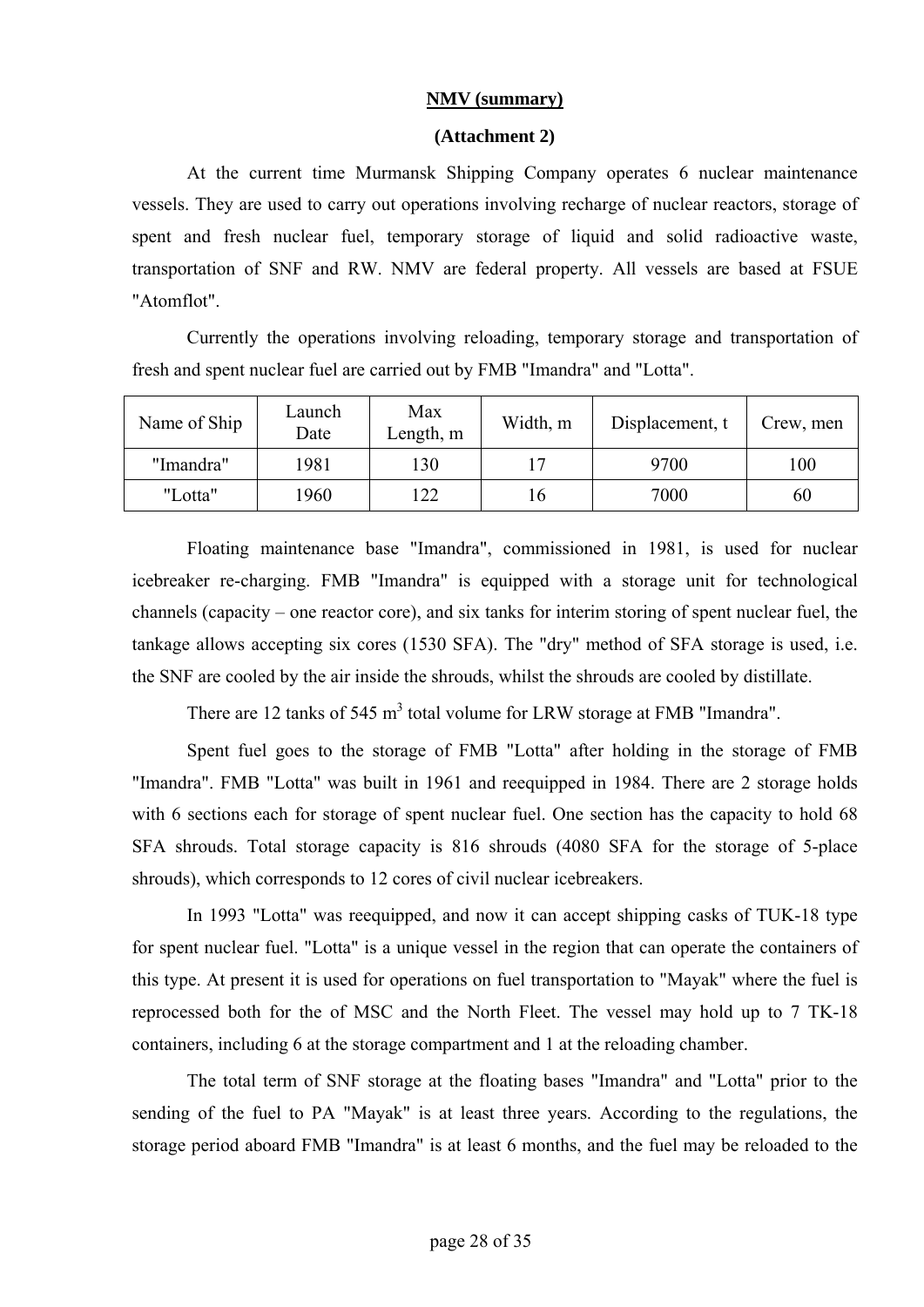### **NMV (summary)**

#### **(Attachment 2)**

At the current time Murmansk Shipping Company operates 6 nuclear maintenance vessels. They are used to carry out operations involving recharge of nuclear reactors, storage of spent and fresh nuclear fuel, temporary storage of liquid and solid radioactive waste, transportation of SNF and RW. NMV are federal property. All vessels are based at FSUE "Atomflot".

Currently the operations involving reloading, temporary storage and transportation of fresh and spent nuclear fuel are carried out by FMB "Imandra" and "Lotta".

| Name of Ship | Launch<br>Date | Max<br>Length, m | Width, m | Displacement, t | Crew, men |
|--------------|----------------|------------------|----------|-----------------|-----------|
| "Imandra"    | 1981           | 130              | 7        | 9700            | 100       |
| "Lotta"      | 1960           | 122              | 16       | 7000            | 60        |

Floating maintenance base "Imandra", commissioned in 1981, is used for nuclear icebreaker re-charging. FMB "Imandra" is equipped with a storage unit for technological channels (capacity – one reactor core), and six tanks for interim storing of spent nuclear fuel, the tankage allows accepting six cores (1530 SFA). The "dry" method of SFA storage is used, i.e. the SNF are cooled by the air inside the shrouds, whilst the shrouds are cooled by distillate.

There are 12 tanks of 545  $m<sup>3</sup>$  total volume for LRW storage at FMB "Imandra".

Spent fuel goes to the storage of FMB "Lotta" after holding in the storage of FMB "Imandra". FMB "Lotta" was built in 1961 and reequipped in 1984. There are 2 storage holds with 6 sections each for storage of spent nuclear fuel. One section has the capacity to hold 68 SFA shrouds. Total storage capacity is 816 shrouds (4080 SFA for the storage of 5-place shrouds), which corresponds to 12 cores of civil nuclear icebreakers.

In 1993 "Lotta" was reequipped, and now it can accept shipping casks of TUK-18 type for spent nuclear fuel. "Lotta" is a unique vessel in the region that can operate the containers of this type. At present it is used for operations on fuel transportation to "Mayak" where the fuel is reprocessed both for the of MSC and the North Fleet. The vessel may hold up to 7 TK-18 containers, including 6 at the storage compartment and 1 at the reloading chamber.

The total term of SNF storage at the floating bases "Imandra" and "Lotta" prior to the sending of the fuel to PA "Mayak" is at least three years. According to the regulations, the storage period aboard FMB "Imandra" is at least 6 months, and the fuel may be reloaded to the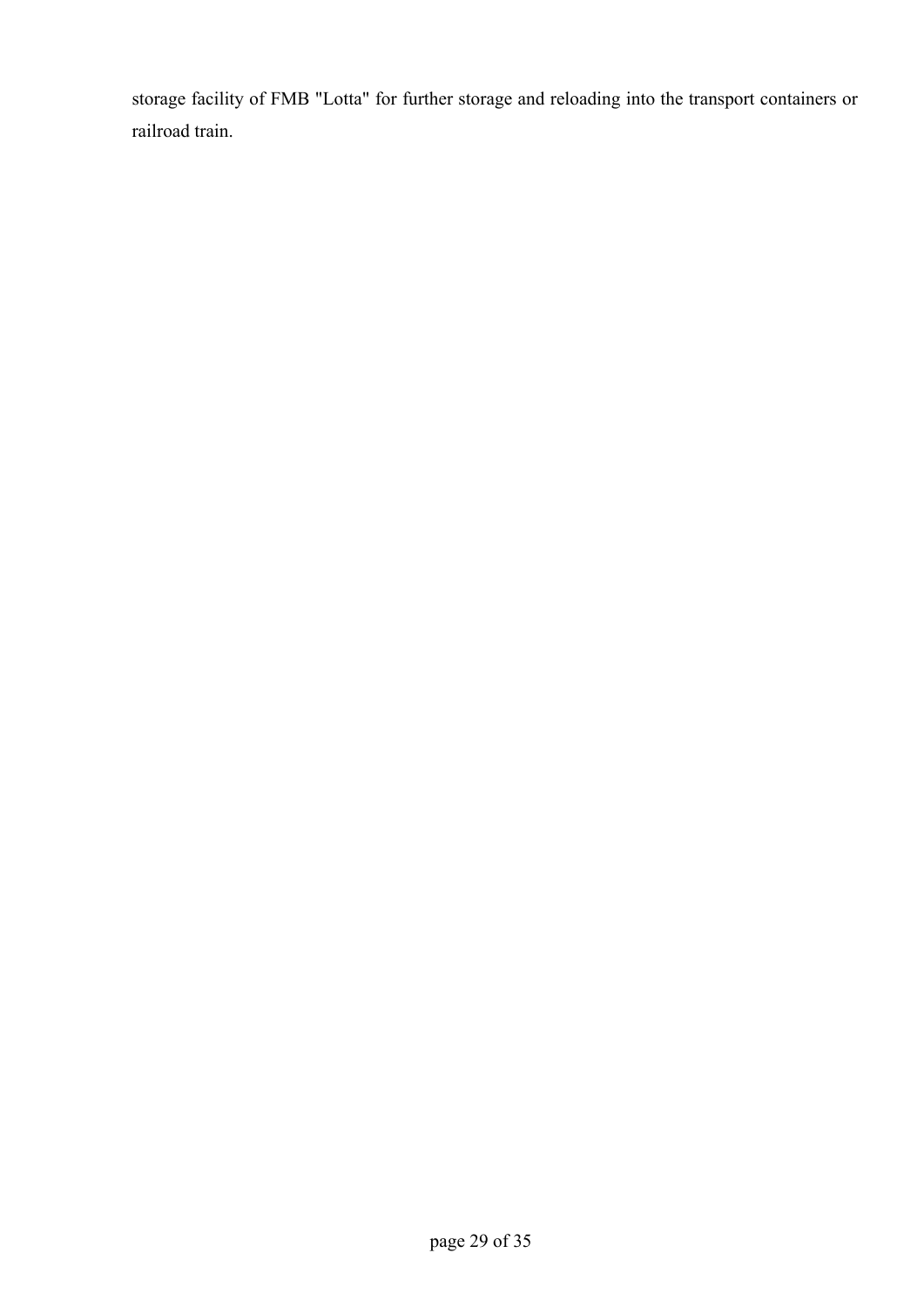storage facility of FMB "Lotta" for further storage and reloading into the transport containers or railroad train.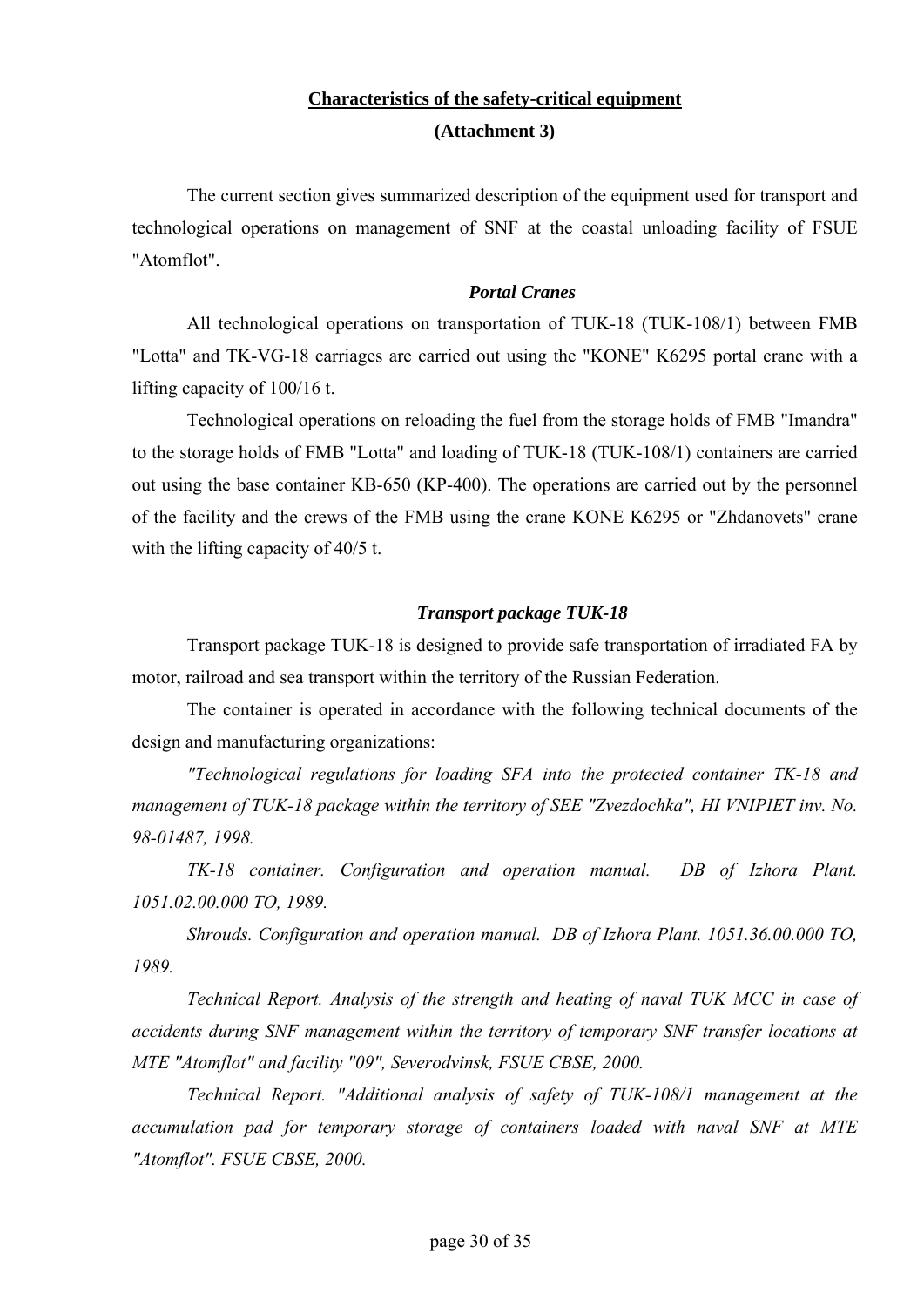## **Characteristics of the safety-critical equipment (Attachment 3)**

The current section gives summarized description of the equipment used for transport and technological operations on management of SNF at the coastal unloading facility of FSUE "Atomflot".

#### *Portal Cranes*

All technological operations on transportation of TUK-18 (TUK-108/1) between FMB "Lotta" and TK-VG-18 carriages are carried out using the "KONE" K6295 portal crane with a lifting capacity of 100/16 t.

Technological operations on reloading the fuel from the storage holds of FMB "Imandra" to the storage holds of FMB "Lotta" and loading of TUK-18 (TUK-108/1) containers are carried out using the base container KB-650 (KP-400). The operations are carried out by the personnel of the facility and the crews of the FMB using the crane KONE K6295 or "Zhdanovets" crane with the lifting capacity of 40/5 t.

#### *Transport package TUK-18*

Transport package TUK-18 is designed to provide safe transportation of irradiated FA by motor, railroad and sea transport within the territory of the Russian Federation.

The container is operated in accordance with the following technical documents of the design and manufacturing organizations:

*"Technological regulations for loading SFA into the protected container TK-18 and*  management of TUK-18 package within the territory of SEE "Zvezdochka", HI VNIPIET inv. No. *98-01487, 1998.*

*TK-18 container. Configuration and operation manual. DB of Izhora Plant. 1051.02.00.000 ТО, 1989.*

*Shrouds. Configuration and operation manual. DB of Izhora Plant. 1051.36.00.000 ТО, 1989.*

*Technical Report. Analysis of the strength and heating of naval TUK MCC in case of accidents during SNF management within the territory of temporary SNF transfer locations at MTE "Atomflot" and facility "09", Severodvinsk, FSUE CBSE, 2000.*

*Technical Report. "Additional analysis of safety of TUK-108/1 management at the accumulation pad for temporary storage of containers loaded with naval SNF at MTE "Atomflot". FSUE CBSE, 2000.*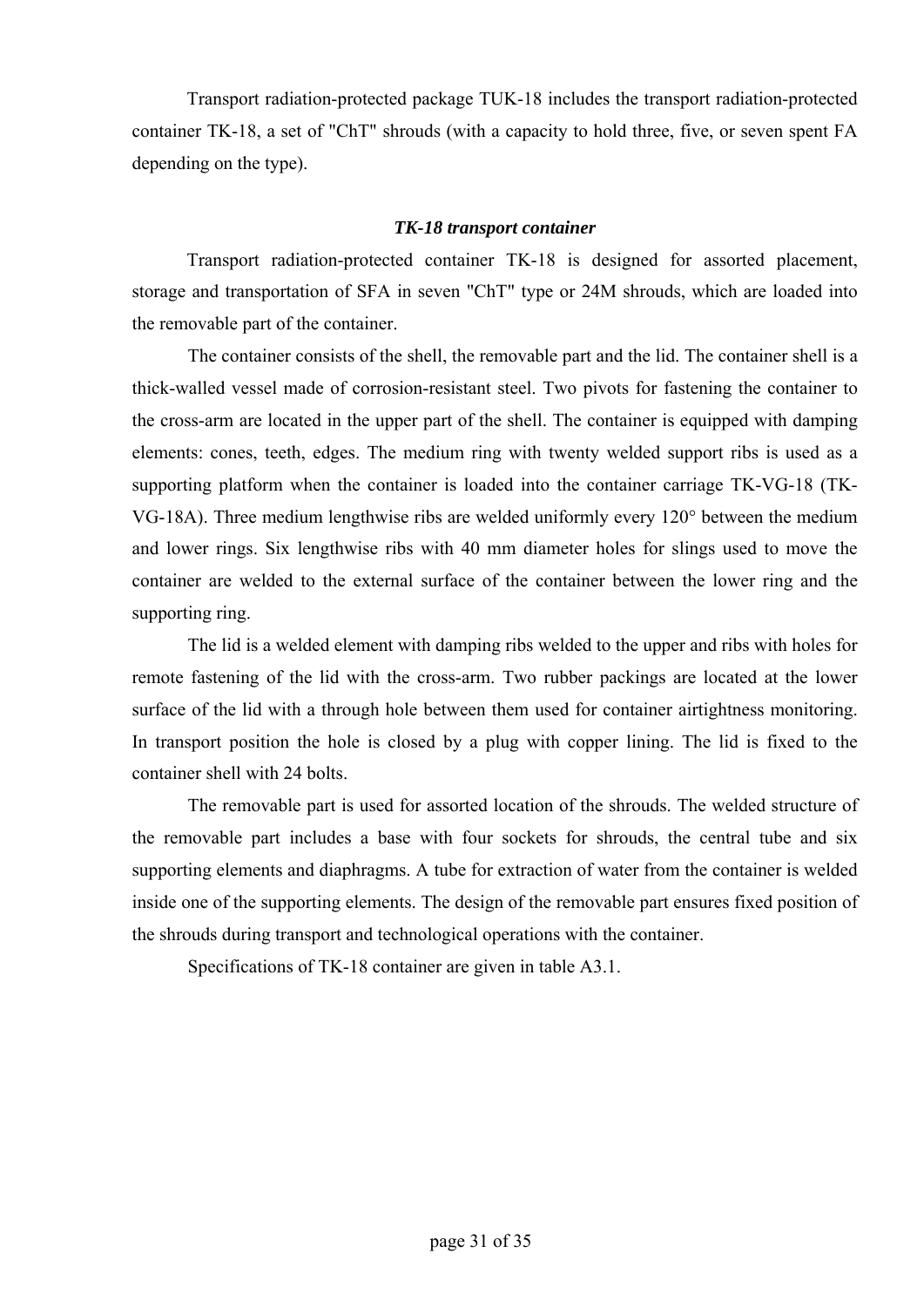Transport radiation-protected package TUK-18 includes the transport radiation-protected container TK-18, a set of "ChT" shrouds (with a capacity to hold three, five, or seven spent FA depending on the type).

### *TK-18 transport container*

Transport radiation-protected container TK-18 is designed for assorted placement, storage and transportation of SFA in seven "ChT" type or 24M shrouds, which are loaded into the removable part of the container.

The container consists of the shell, the removable part and the lid. The container shell is a thick-walled vessel made of corrosion-resistant steel. Two pivots for fastening the container to the cross-arm are located in the upper part of the shell. The container is equipped with damping elements: cones, teeth, edges. The medium ring with twenty welded support ribs is used as a supporting platform when the container is loaded into the container carriage TK-VG-18 (TK-VG-18A). Three medium lengthwise ribs are welded uniformly every 120° between the medium and lower rings. Six lengthwise ribs with 40 mm diameter holes for slings used to move the container are welded to the external surface of the container between the lower ring and the supporting ring.

The lid is a welded element with damping ribs welded to the upper and ribs with holes for remote fastening of the lid with the cross-arm. Two rubber packings are located at the lower surface of the lid with a through hole between them used for container airtightness monitoring. In transport position the hole is closed by a plug with copper lining. The lid is fixed to the container shell with 24 bolts.

The removable part is used for assorted location of the shrouds. The welded structure of the removable part includes a base with four sockets for shrouds, the central tube and six supporting elements and diaphragms. A tube for extraction of water from the container is welded inside one of the supporting elements. The design of the removable part ensures fixed position of the shrouds during transport and technological operations with the container.

Specifications of TK-18 container are given in table A3.1.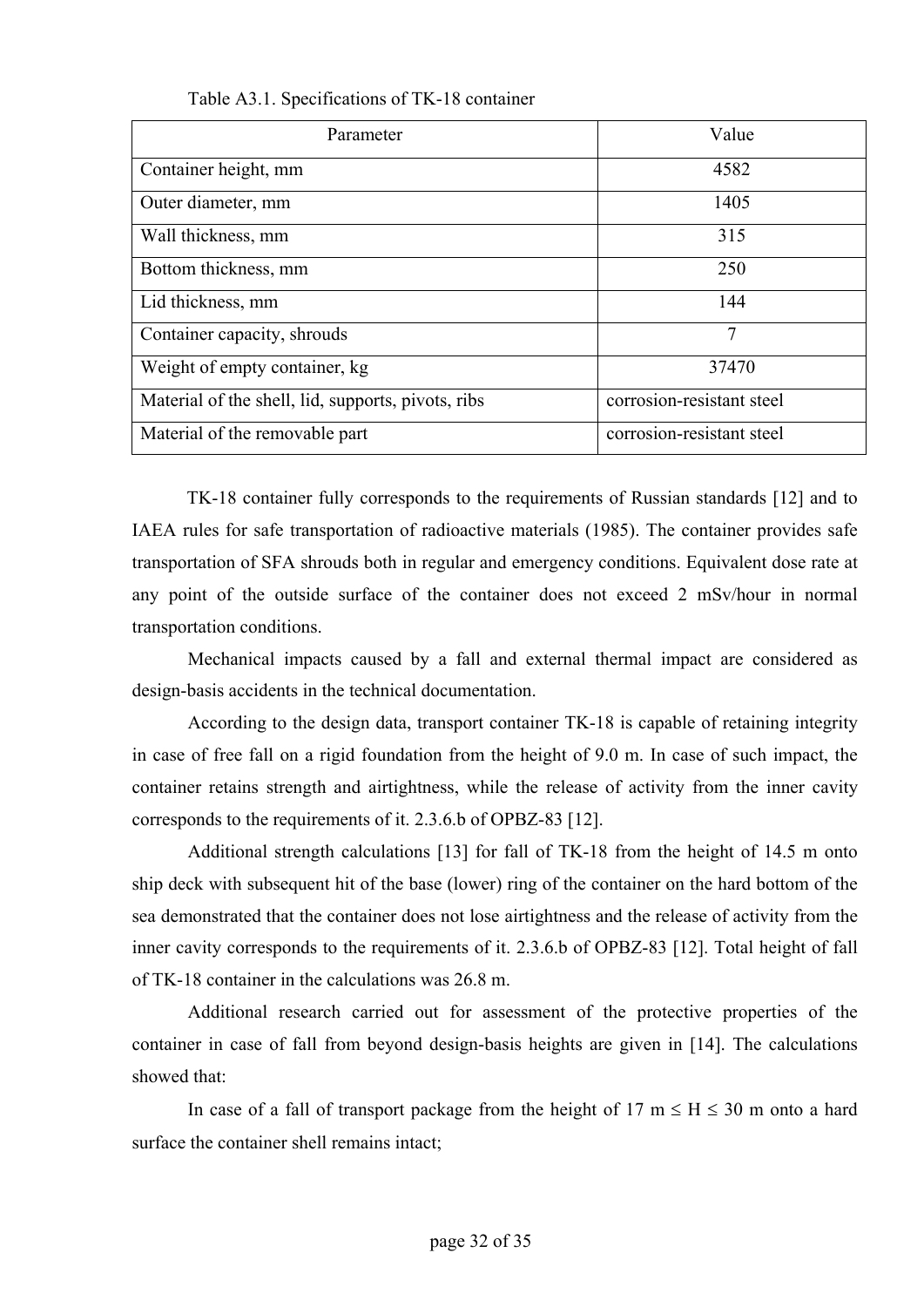| Parameter                                          | Value                     |
|----------------------------------------------------|---------------------------|
| Container height, mm                               | 4582                      |
| Outer diameter, mm                                 | 1405                      |
| Wall thickness, mm                                 | 315                       |
| Bottom thickness, mm                               | 250                       |
| Lid thickness, mm                                  | 144                       |
| Container capacity, shrouds                        | 7                         |
| Weight of empty container, kg                      | 37470                     |
| Material of the shell, lid, supports, pivots, ribs | corrosion-resistant steel |
| Material of the removable part                     | corrosion-resistant steel |

Table A3.1. Specifications of TK-18 container

TK-18 container fully corresponds to the requirements of Russian standards [12] and to IAEA rules for safe transportation of radioactive materials (1985). The container provides safe transportation of SFA shrouds both in regular and emergency conditions. Equivalent dose rate at any point of the outside surface of the container does not exceed 2 mSv/hour in normal transportation conditions.

Mechanical impacts caused by a fall and external thermal impact are considered as design-basis accidents in the technical documentation.

According to the design data, transport container TK-18 is capable of retaining integrity in case of free fall on a rigid foundation from the height of 9.0 m. In case of such impact, the container retains strength and airtightness, while the release of activity from the inner cavity corresponds to the requirements of it. 2.3.6.b of OPBZ-83 [12].

Additional strength calculations [13] for fall of TK-18 from the height of 14.5 m onto ship deck with subsequent hit of the base (lower) ring of the container on the hard bottom of the sea demonstrated that the container does not lose airtightness and the release of activity from the inner cavity corresponds to the requirements of it. 2.3.6.b of OPBZ-83 [12]. Total height of fall of TK-18 container in the calculations was 26.8 m.

Additional research carried out for assessment of the protective properties of the container in case of fall from beyond design-basis heights are given in [14]. The calculations showed that:

In case of a fall of transport package from the height of 17 m  $\leq H \leq 30$  m onto a hard surface the container shell remains intact;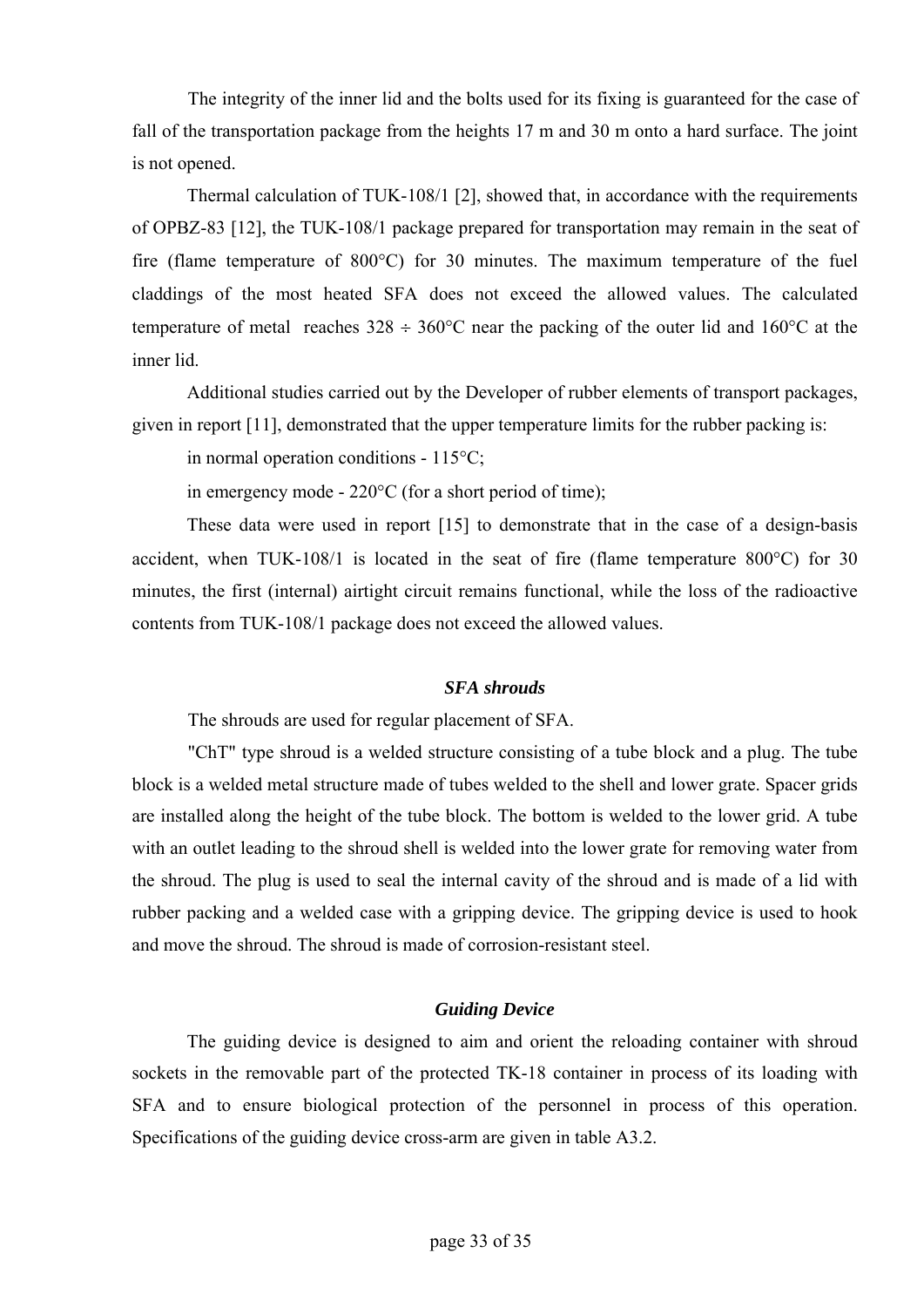The integrity of the inner lid and the bolts used for its fixing is guaranteed for the case of fall of the transportation package from the heights 17 m and 30 m onto a hard surface. The joint is not opened.

Thermal calculation of TUK-108/1 [2], showed that, in accordance with the requirements of OPBZ-83 [12], the TUK-108/1 package prepared for transportation may remain in the seat of fire (flame temperature of 800°С) for 30 minutes. The maximum temperature of the fuel claddings of the most heated SFA does not exceed the allowed values. The calculated temperature of metal reaches  $328 \div 360^{\circ}$ C near the packing of the outer lid and  $160^{\circ}$ C at the inner lid.

Additional studies carried out by the Developer of rubber elements of transport packages, given in report [11], demonstrated that the upper temperature limits for the rubber packing is:

in normal operation conditions - 115°С;

in emergency mode - 220°С (for a short period of time);

These data were used in report [15] to demonstrate that in the case of a design-basis accident, when TUK-108/1 is located in the seat of fire (flame temperature 800°С) for 30 minutes, the first (internal) airtight circuit remains functional, while the loss of the radioactive contents from TUK-108/1 package does not exceed the allowed values.

### *SFA shrouds*

The shrouds are used for regular placement of SFA.

"ChT" type shroud is a welded structure consisting of a tube block and a plug. The tube block is a welded metal structure made of tubes welded to the shell and lower grate. Spacer grids are installed along the height of the tube block. The bottom is welded to the lower grid. A tube with an outlet leading to the shroud shell is welded into the lower grate for removing water from the shroud. The plug is used to seal the internal cavity of the shroud and is made of a lid with rubber packing and a welded case with a gripping device. The gripping device is used to hook and move the shroud. The shroud is made of corrosion-resistant steel.

### *Guiding Device*

The guiding device is designed to aim and orient the reloading container with shroud sockets in the removable part of the protected TK-18 container in process of its loading with SFA and to ensure biological protection of the personnel in process of this operation. Specifications of the guiding device cross-arm are given in table A3.2.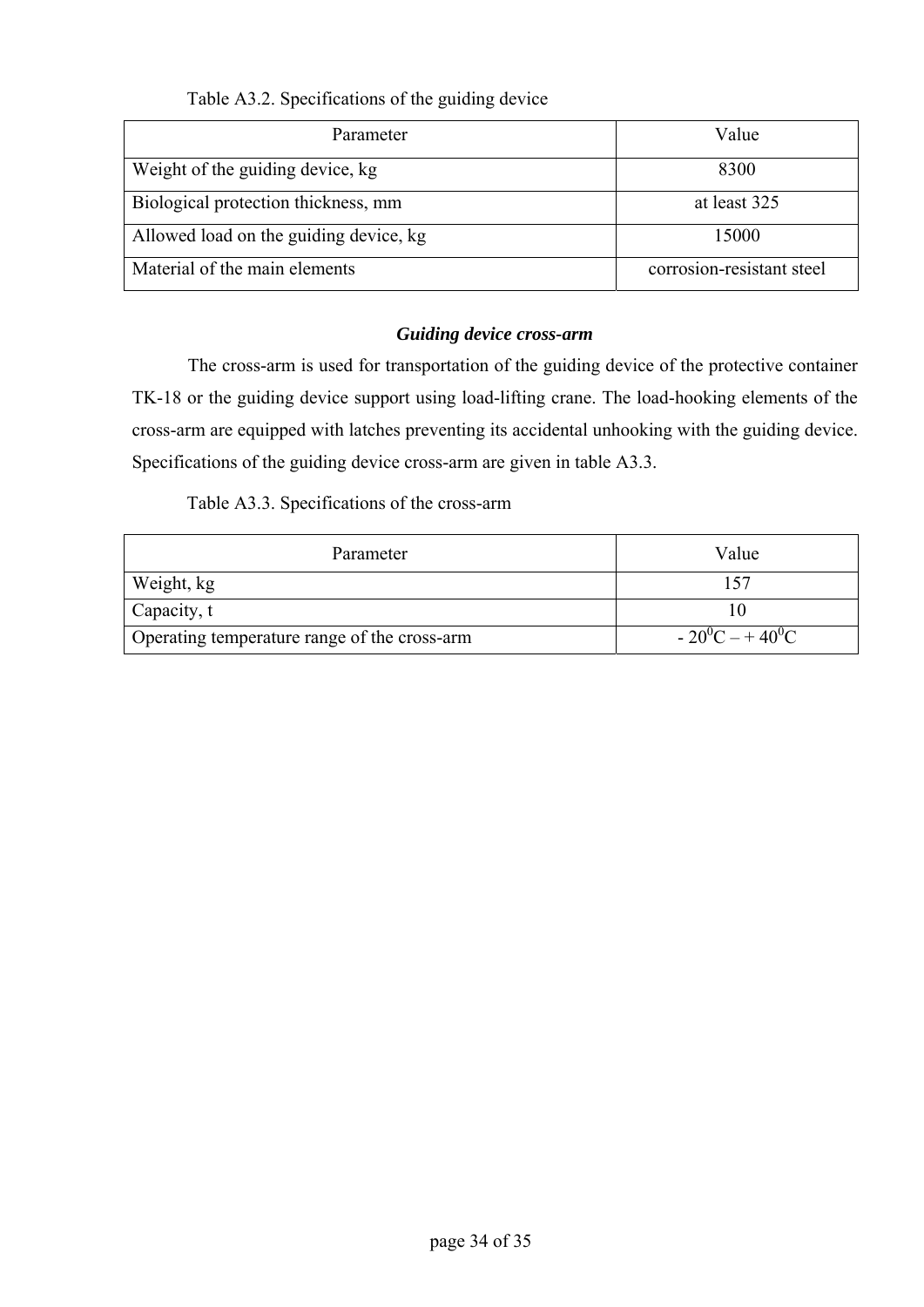## Table A3.2. Specifications of the guiding device

| Parameter                              | Value                     |
|----------------------------------------|---------------------------|
| Weight of the guiding device, kg       | 8300                      |
| Biological protection thickness, mm    | at least 325              |
| Allowed load on the guiding device, kg | 15000                     |
| Material of the main elements          | corrosion-resistant steel |

## *Guiding device cross-arm*

The cross-arm is used for transportation of the guiding device of the protective container TK-18 or the guiding device support using load-lifting crane. The load-hooking elements of the cross-arm are equipped with latches preventing its accidental unhooking with the guiding device. Specifications of the guiding device cross-arm are given in table A3.3.

## Table A3.3. Specifications of the cross-arm

| Parameter                                    | Value             |
|----------------------------------------------|-------------------|
| Weight, kg                                   | 157               |
| $\Box$ Capacity, t                           |                   |
| Operating temperature range of the cross-arm | $-20^0C - +40^0C$ |